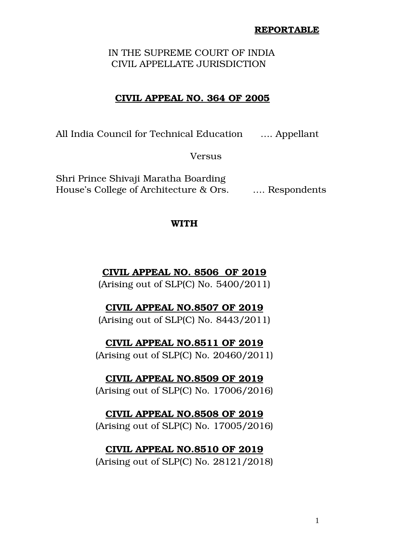### **REPORTABLE**

 IN THE SUPREME COURT OF INDIA CIVIL APPELLATE JURISDICTION

# **CIVIL APPEAL NO. 364 OF 2005**

All India Council for Technical Education .... Appellant

Versus

Shri Prince Shivaji Maratha Boarding House's College of Architecture & Ors. .... Respondents

## **WITH**

# **CIVIL APPEAL NO. 8506 OF 2019**

(Arising out of SLP(C) No. 5400/2011)

# **CIVIL APPEAL NO.8507 OF 2019**

(Arising out of SLP(C) No. 8443/2011)

# **CIVIL APPEAL NO.8511 OF 2019**

(Arising out of SLP(C) No. 20460/2011)

## **CIVIL APPEAL NO.8509 OF 2019**

(Arising out of SLP(C) No. 17006/2016)

### **CIVIL APPEAL NO.8508 OF 2019**

(Arising out of SLP(C) No. 17005/2016)

# **CIVIL APPEAL NO.8510 OF 2019**

(Arising out of SLP(C) No. 28121/2018)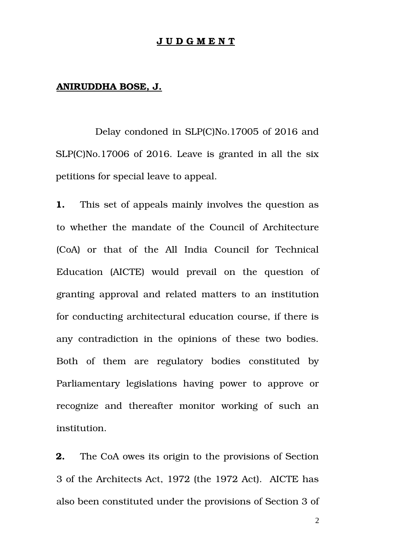### **J U D G M E N T**

## **ANIRUDDHA BOSE, J.**

 Delay condoned in SLP(C)No.17005 of 2016 and SLP(C)No.17006 of 2016. Leave is granted in all the six petitions for special leave to appeal.

**1.** This set of appeals mainly involves the question as to whether the mandate of the Council of Architecture (CoA) or that of the All India Council for Technical Education (AICTE) would prevail on the question of granting approval and related matters to an institution for conducting architectural education course, if there is any contradiction in the opinions of these two bodies. Both of them are regulatory bodies constituted by Parliamentary legislations having power to approve or recognize and thereafter monitor working of such an institution.

**2.** The CoA owes its origin to the provisions of Section 3 of the Architects Act, 1972 (the 1972 Act). AICTE has also been constituted under the provisions of Section 3 of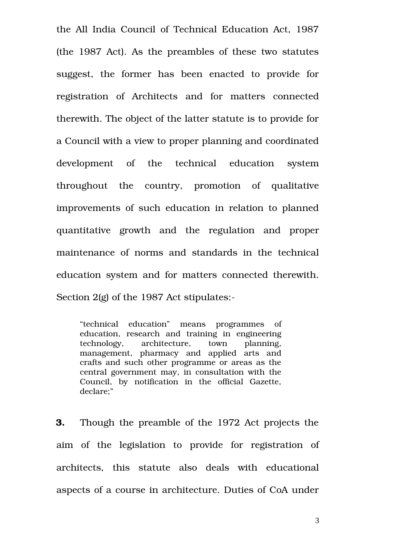the All India Council of Technical Education Act, 1987 (the 1987 Act). As the preambles of these two statutes suggest, the former has been enacted to provide for registration of Architects and for matters connected therewith. The object of the latter statute is to provide for a Council with a view to proper planning and coordinated development of the technical education system throughout the country, promotion of qualitative improvements of such education in relation to planned quantitative growth and the regulation and proper maintenance of norms and standards in the technical education system and for matters connected therewith. Section 2(g) of the 1987 Act stipulates:-

"technical education" means programmes of education, research and training in engineering technology, architecture, town planning, management, pharmacy and applied arts and crafts and such other programme or areas as the central government may, in consultation with the Council, by notification in the official Gazette, declare;"

**3.** Though the preamble of the 1972 Act projects the aim of the legislation to provide for registration of architects, this statute also deals with educational aspects of a course in architecture. Duties of CoA under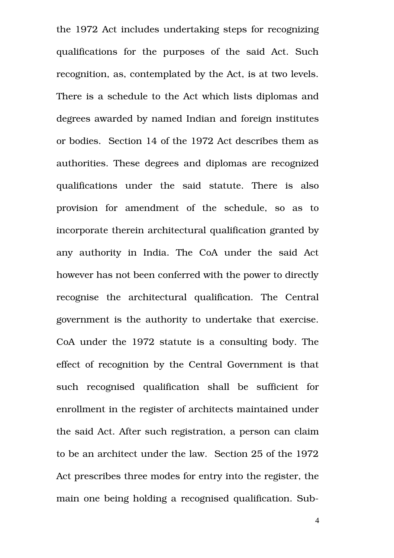the 1972 Act includes undertaking steps for recognizing qualifications for the purposes of the said Act. Such recognition, as, contemplated by the Act, is at two levels. There is a schedule to the Act which lists diplomas and degrees awarded by named Indian and foreign institutes or bodies. Section 14 of the 1972 Act describes them as authorities. These degrees and diplomas are recognized qualifications under the said statute. There is also provision for amendment of the schedule, so as to incorporate therein architectural qualification granted by any authority in India. The CoA under the said Act however has not been conferred with the power to directly recognise the architectural qualification. The Central government is the authority to undertake that exercise. CoA under the 1972 statute is a consulting body. The effect of recognition by the Central Government is that such recognised qualification shall be sufficient for enrollment in the register of architects maintained under the said Act. After such registration, a person can claim to be an architect under the law. Section 25 of the 1972 Act prescribes three modes for entry into the register, the main one being holding a recognised qualification. Sub-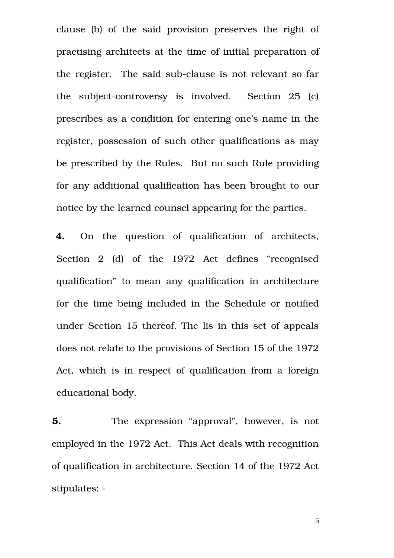clause (b) of the said provision preserves the right of practising architects at the time of initial preparation of the register. The said sub-clause is not relevant so far the subject-controversy is involved. Section 25 (c) prescribes as a condition for entering one's name in the register, possession of such other qualifications as may be prescribed by the Rules. But no such Rule providing for any additional qualification has been brought to our notice by the learned counsel appearing for the parties.

4. On the question of qualification of architects, Section 2 (d) of the 1972 Act defines "recognised qualification" to mean any qualification in architecture for the time being included in the Schedule or notified under Section 15 thereof. The lis in this set of appeals does not relate to the provisions of Section 15 of the 1972 Act, which is in respect of qualification from a foreign educational body.

**5.** The expression "approval", however, is not employed in the 1972 Act. This Act deals with recognition of qualification in architecture. Section 14 of the 1972 Act stipulates: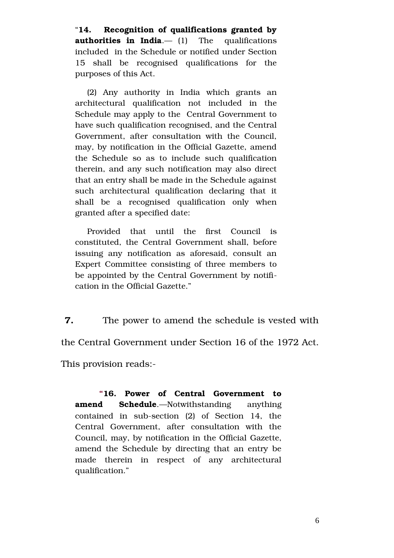"**14. Recognition of qualifications granted by authorities in India.**— (1) The qualifications included in the Schedule or notified under Section 15 shall be recognised qualifications for the purposes of this Act.

(2) Any authority in India which grants an architectural qualification not included in the Schedule may apply to the Central Government to have such qualification recognised, and the Central Government, after consultation with the Council, may, by notification in the Official Gazette, amend the Schedule so as to include such qualification therein, and any such notification may also direct that an entry shall be made in the Schedule against such architectural qualification declaring that it shall be a recognised qualification only when granted after a specified date:

Provided that until the first Council is constituted, the Central Government shall, before issuing any notification as aforesaid, consult an Expert Committee consisting of three members to be appointed by the Central Government by notification in the Official Gazette."

**7.** The power to amend the schedule is vested with

the Central Government under Section 16 of the 1972 Act.

This provision reads:

**"16. Power of Central Government to amend Schedule**.—Notwithstanding anything contained in  $sub-section$   $(2)$  of Section 14, the Central Government, after consultation with the Council, may, by notification in the Official Gazette, amend the Schedule by directing that an entry be made therein in respect of any architectural qualification."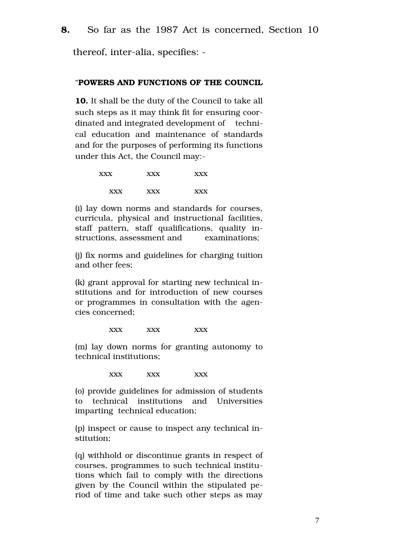thereof, inter-alia, specifies: -

### "**POWERS AND FUNCTIONS OF THE COUNCIL**

**10.** It shall be the duty of the Council to take all such steps as it may think fit for ensuring coordinated and integrated development of technical education and maintenance of standards and for the purposes of performing its functions under this Act, the Council may:

| <b>XXX</b> | <b>XXX</b> | <b>XXX</b> |
|------------|------------|------------|
| <b>XXX</b> | <b>XXX</b> | <b>XXX</b> |

(i) lay down norms and standards for courses, curricula, physical and instructional facilities, staff pattern, staff qualifications, quality instructions, assessment and examinations;

(j) fix norms and guidelines for charging tuition and other fees;

(k) grant approval for starting new technical institutions and for introduction of new courses or programmes in consultation with the agencies concerned;

#### xxx xxx xxx

(m) lay down norms for granting autonomy to technical institutions;

xxx xxx xxx

(o) provide guidelines for admission of students to technical institutions and Universities imparting technical education;

(p) inspect or cause to inspect any technical institution;

(q) withhold or discontinue grants in respect of courses, programmes to such technical institutions which fail to comply with the directions given by the Council within the stipulated period of time and take such other steps as may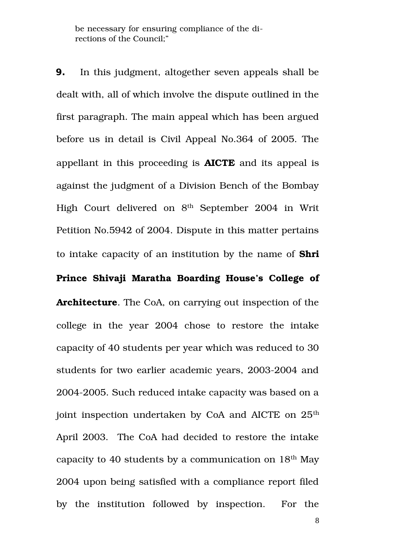be necessary for ensuring compliance of the directions of the Council;"

**9.** In this judgment, altogether seven appeals shall be dealt with, all of which involve the dispute outlined in the first paragraph. The main appeal which has been argued before us in detail is Civil Appeal No.364 of 2005. The appellant in this proceeding is **AICTE** and its appeal is against the judgment of a Division Bench of the Bombay High Court delivered on 8<sup>th</sup> September 2004 in Writ Petition No.5942 of 2004. Dispute in this matter pertains to intake capacity of an institution by the name of **Shri Prince Shivaji Maratha Boarding House's College of Architecture**. The CoA, on carrying out inspection of the college in the year 2004 chose to restore the intake capacity of 40 students per year which was reduced to 30 students for two earlier academic years, 2003-2004 and 2004-2005. Such reduced intake capacity was based on a joint inspection undertaken by CoA and AICTE on  $25<sup>th</sup>$ April 2003. The CoA had decided to restore the intake capacity to 40 students by a communication on  $18<sup>th</sup>$  May 2004 upon being satisfied with a compliance report filed by the institution followed by inspection. For the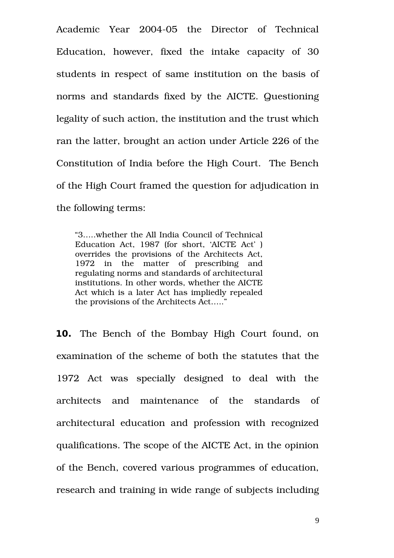Academic Year 2004-05 the Director of Technical Education, however, fixed the intake capacity of 30 students in respect of same institution on the basis of norms and standards fixed by the AICTE. Questioning legality of such action, the institution and the trust which ran the latter, brought an action under Article 226 of the Constitution of India before the High Court. The Bench of the High Court framed the question for adjudication in the following terms:

"3…..whether the All India Council of Technical Education Act, 1987 (for short, 'AICTE Act' ) overrides the provisions of the Architects Act, 1972 in the matter of prescribing and regulating norms and standards of architectural institutions. In other words, whether the AICTE Act which is a later Act has impliedly repealed the provisions of the Architects Act….."

**10.** The Bench of the Bombay High Court found, on examination of the scheme of both the statutes that the 1972 Act was specially designed to deal with the architects and maintenance of the standards of architectural education and profession with recognized qualifications. The scope of the AICTE Act, in the opinion of the Bench, covered various programmes of education, research and training in wide range of subjects including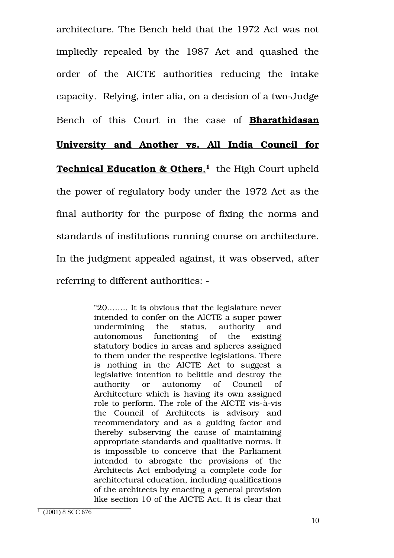architecture. The Bench held that the 1972 Act was not impliedly repealed by the 1987 Act and quashed the order of the AICTE authorities reducing the intake capacity. Relying, inter alia, on a decision of a two-Judge

Bench of this Court in the case of **Bharathidasan**

# **University and Another vs. All India Council for**

 **Technical Education & Others**, **[1](#page-9-0)** the High Court upheld the power of regulatory body under the 1972 Act as the final authority for the purpose of fixing the norms and standards of institutions running course on architecture. In the judgment appealed against, it was observed, after referring to different authorities:

> "20…….. It is obvious that the legislature never intended to confer on the AICTE a super power undermining the status, authority and autonomous functioning of the existing statutory bodies in areas and spheres assigned to them under the respective legislations. There is nothing in the AICTE Act to suggest a legislative intention to belittle and destroy the authority or autonomy of Council of Architecture which is having its own assigned role to perform. The role of the AICTE vis-à-vis the Council of Architects is advisory and recommendatory and as a guiding factor and thereby subserving the cause of maintaining appropriate standards and qualitative norms. It is impossible to conceive that the Parliament intended to abrogate the provisions of the Architects Act embodying a complete code for architectural education, including qualifications of the architects by enacting a general provision like section 10 of the AICTE Act. It is clear that

<span id="page-9-0"></span><sup>1</sup> (2001) 8 SCC 676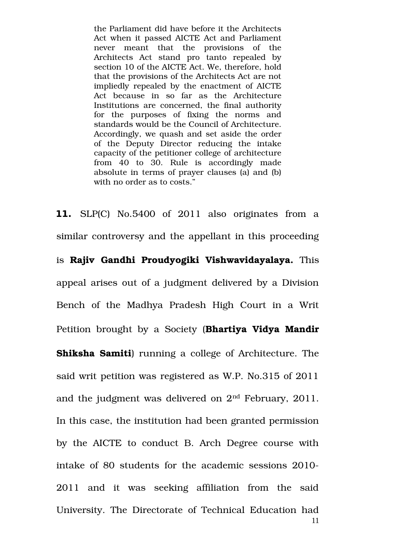the Parliament did have before it the Architects Act when it passed AICTE Act and Parliament never meant that the provisions of the Architects Act stand pro tanto repealed by section 10 of the AICTE Act. We, therefore, hold that the provisions of the Architects Act are not impliedly repealed by the enactment of AICTE Act because in so far as the Architecture Institutions are concerned, the final authority for the purposes of fixing the norms and standards would be the Council of Architecture. Accordingly, we quash and set aside the order of the Deputy Director reducing the intake capacity of the petitioner college of architecture from 40 to 30. Rule is accordingly made absolute in terms of prayer clauses (a) and (b) with no order as to costs."

**11.** SLP(C) No.5400 of 2011 also originates from a similar controversy and the appellant in this proceeding is **Rajiv Gandhi Proudyogiki Vishwavidayalaya.** This appeal arises out of a judgment delivered by a Division Bench of the Madhya Pradesh High Court in a Writ Petition brought by a Society (**Bhartiya Vidya Mandir Shiksha Samiti**) running a college of Architecture. The said writ petition was registered as W.P. No.315 of 2011 and the judgment was delivered on  $2<sup>nd</sup>$  February, 2011. In this case, the institution had been granted permission by the AICTE to conduct B. Arch Degree course with intake of 80 students for the academic sessions 2010 2011 and it was seeking affiliation from the said University. The Directorate of Technical Education had 11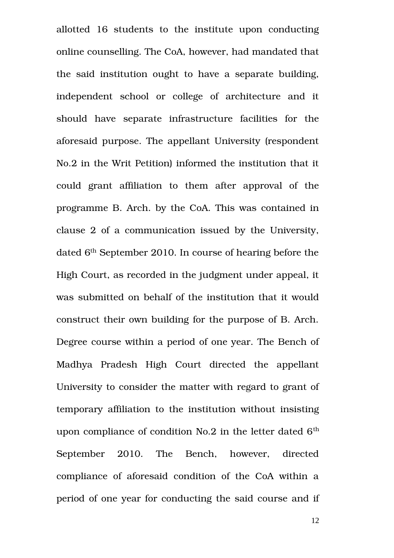allotted 16 students to the institute upon conducting online counselling. The CoA, however, had mandated that the said institution ought to have a separate building, independent school or college of architecture and it should have separate infrastructure facilities for the aforesaid purpose. The appellant University (respondent No.2 in the Writ Petition) informed the institution that it could grant affiliation to them after approval of the programme B. Arch. by the CoA. This was contained in clause 2 of a communication issued by the University, dated 6<sup>th</sup> September 2010. In course of hearing before the High Court, as recorded in the judgment under appeal, it was submitted on behalf of the institution that it would construct their own building for the purpose of B. Arch. Degree course within a period of one year. The Bench of Madhya Pradesh High Court directed the appellant University to consider the matter with regard to grant of temporary affiliation to the institution without insisting upon compliance of condition No.2 in the letter dated  $6<sup>th</sup>$ September 2010. The Bench, however, directed compliance of aforesaid condition of the CoA within a period of one year for conducting the said course and if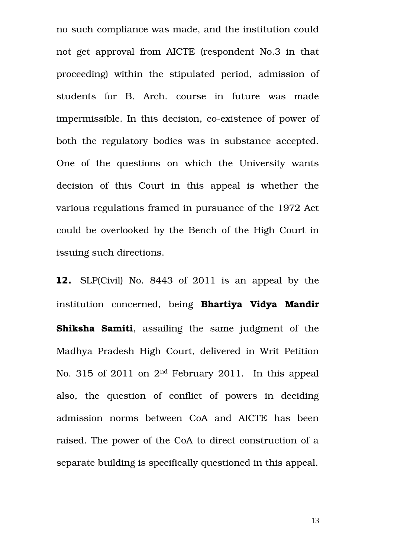no such compliance was made, and the institution could not get approval from AICTE (respondent No.3 in that proceeding) within the stipulated period, admission of students for B. Arch. course in future was made impermissible. In this decision, co-existence of power of both the regulatory bodies was in substance accepted. One of the questions on which the University wants decision of this Court in this appeal is whether the various regulations framed in pursuance of the 1972 Act could be overlooked by the Bench of the High Court in issuing such directions.

**12.** SLP(Civil) No. 8443 of 2011 is an appeal by the institution concerned, being **Bhartiya Vidya Mandir Shiksha Samiti**, assailing the same judgment of the Madhya Pradesh High Court, delivered in Writ Petition No. 315 of 2011 on  $2<sup>nd</sup>$  February 2011. In this appeal also, the question of conflict of powers in deciding admission norms between CoA and AICTE has been raised. The power of the CoA to direct construction of a separate building is specifically questioned in this appeal.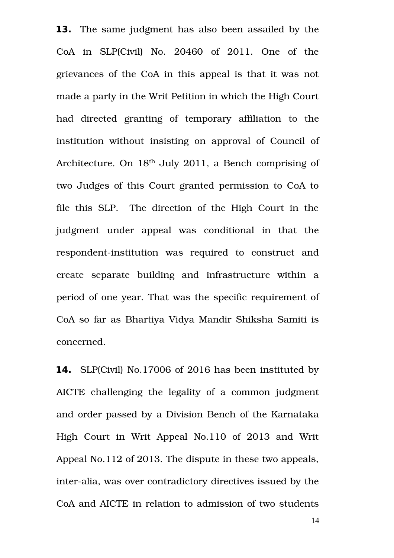**13.** The same judgment has also been assailed by the CoA in SLP(Civil) No. 20460 of 2011. One of the grievances of the CoA in this appeal is that it was not made a party in the Writ Petition in which the High Court had directed granting of temporary affiliation to the institution without insisting on approval of Council of Architecture. On 18th July 2011, a Bench comprising of two Judges of this Court granted permission to CoA to file this SLP. The direction of the High Court in the judgment under appeal was conditional in that the respondent-institution was required to construct and create separate building and infrastructure within a period of one year. That was the specific requirement of CoA so far as Bhartiya Vidya Mandir Shiksha Samiti is concerned.

**14.** SLP(Civil) No.17006 of 2016 has been instituted by AICTE challenging the legality of a common judgment and order passed by a Division Bench of the Karnataka High Court in Writ Appeal No.110 of 2013 and Writ Appeal No.112 of 2013. The dispute in these two appeals, inter-alia, was over contradictory directives issued by the CoA and AICTE in relation to admission of two students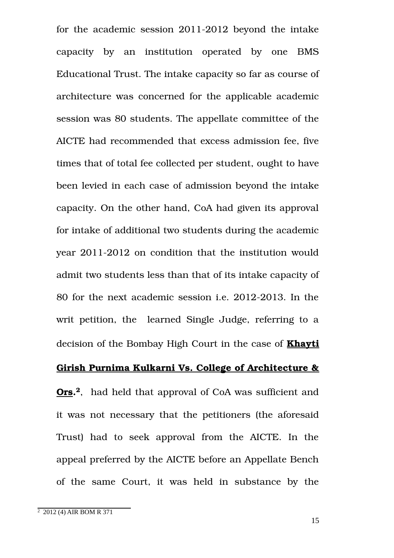for the academic session  $2011-2012$  beyond the intake capacity by an institution operated by one BMS Educational Trust. The intake capacity so far as course of architecture was concerned for the applicable academic session was 80 students. The appellate committee of the AICTE had recommended that excess admission fee, five times that of total fee collected per student, ought to have been levied in each case of admission beyond the intake capacity. On the other hand, CoA had given its approval for intake of additional two students during the academic year 2011-2012 on condition that the institution would admit two students less than that of its intake capacity of 80 for the next academic session i.e. 2012-2013. In the writ petition, the learned Single Judge, referring to a decision of the Bombay High Court in the case of **Khayti**

# **Girish Purnima Kulkarni Vs. College of Architecture &**

**Ors. [2](#page-14-0)**, had held that approval of CoA was sufficient and it was not necessary that the petitioners (the aforesaid Trust) had to seek approval from the AICTE. In the appeal preferred by the AICTE before an Appellate Bench of the same Court, it was held in substance by the

<span id="page-14-0"></span><sup>2</sup> 2012 (4) AIR BOM R 371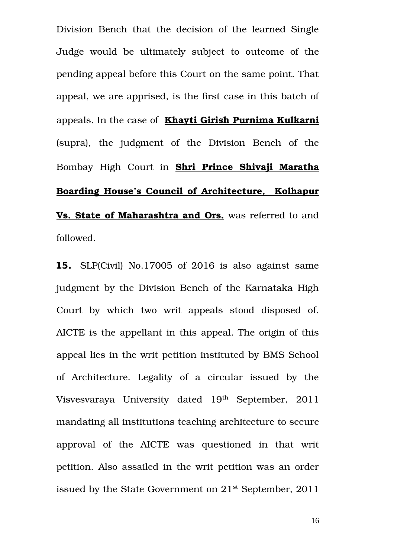Division Bench that the decision of the learned Single Judge would be ultimately subject to outcome of the pending appeal before this Court on the same point. That appeal, we are apprised, is the first case in this batch of appeals. In the case of **Khayti Girish Purnima Kulkarni** (supra), the judgment of the Division Bench of the Bombay High Court in **Shri Prince Shivaji Maratha Boarding House's Council of Architecture, Kolhapur Vs. State of Maharashtra and Ors.** was referred to and followed.

**15.** SLP(Civil) No.17005 of 2016 is also against same judgment by the Division Bench of the Karnataka High Court by which two writ appeals stood disposed of. AICTE is the appellant in this appeal. The origin of this appeal lies in the writ petition instituted by BMS School of Architecture. Legality of a circular issued by the Visvesvaraya University dated 19<sup>th</sup> September, 2011 mandating all institutions teaching architecture to secure approval of the AICTE was questioned in that writ petition. Also assailed in the writ petition was an order issued by the State Government on  $21^{st}$  September, 2011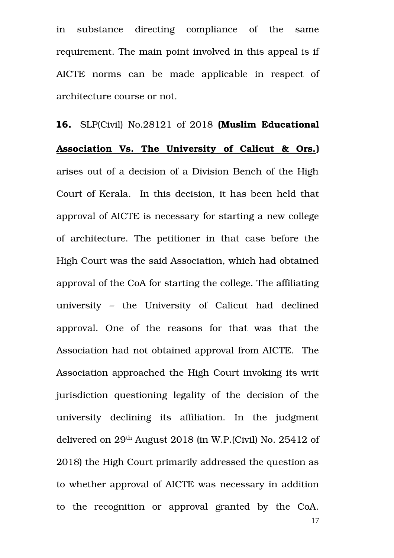in substance directing compliance of the same requirement. The main point involved in this appeal is if AICTE norms can be made applicable in respect of architecture course or not.

**16.** SLP(Civil) No.28121 of 2018 **(Muslim Educational** Association Vs. The University of Calicut & Ors.) arises out of a decision of a Division Bench of the High Court of Kerala. In this decision, it has been held that approval of AICTE is necessary for starting a new college of architecture. The petitioner in that case before the High Court was the said Association, which had obtained approval of the CoA for starting the college. The affiliating university – the University of Calicut had declined approval. One of the reasons for that was that the Association had not obtained approval from AICTE. The Association approached the High Court invoking its writ jurisdiction questioning legality of the decision of the university declining its affiliation. In the judgment delivered on 29th August 2018 (in W.P.(Civil) No. 25412 of 2018) the High Court primarily addressed the question as to whether approval of AICTE was necessary in addition to the recognition or approval granted by the CoA.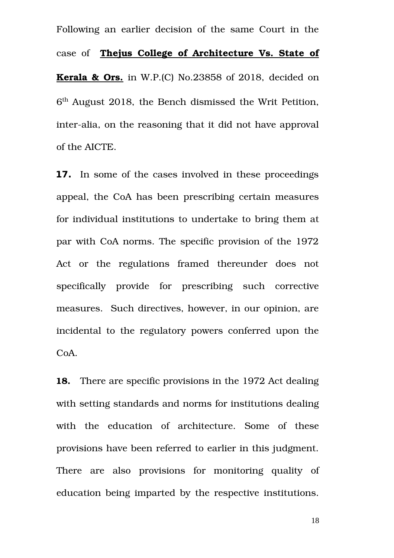Following an earlier decision of the same Court in the case of **Thejus College of Architecture Vs. State of Kerala & Ors.** in W.P.(C) No.23858 of 2018, decided on 6<sup>th</sup> August 2018, the Bench dismissed the Writ Petition, inter-alia, on the reasoning that it did not have approval of the AICTE.

**17.** In some of the cases involved in these proceedings appeal, the CoA has been prescribing certain measures for individual institutions to undertake to bring them at par with CoA norms. The specific provision of the 1972 Act or the regulations framed thereunder does not specifically provide for prescribing such corrective measures. Such directives, however, in our opinion, are incidental to the regulatory powers conferred upon the CoA.

**18.** There are specific provisions in the 1972 Act dealing with setting standards and norms for institutions dealing with the education of architecture. Some of these provisions have been referred to earlier in this judgment. There are also provisions for monitoring quality of education being imparted by the respective institutions.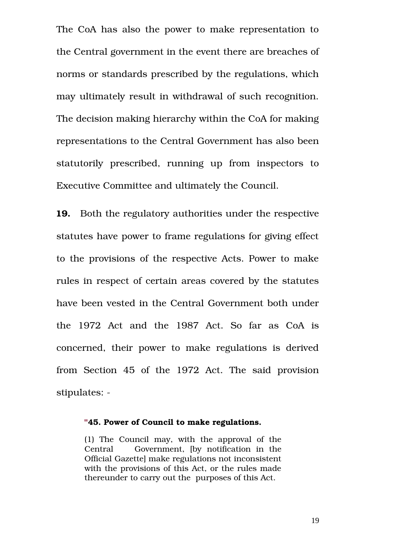The CoA has also the power to make representation to the Central government in the event there are breaches of norms or standards prescribed by the regulations, which may ultimately result in withdrawal of such recognition. The decision making hierarchy within the CoA for making representations to the Central Government has also been statutorily prescribed, running up from inspectors to Executive Committee and ultimately the Council.

**19.** Both the regulatory authorities under the respective statutes have power to frame regulations for giving effect to the provisions of the respective Acts. Power to make rules in respect of certain areas covered by the statutes have been vested in the Central Government both under the 1972 Act and the 1987 Act. So far as CoA is concerned, their power to make regulations is derived from Section 45 of the 1972 Act. The said provision stipulates: -

#### **"45. Power of Council to make regulations.**

(1) The Council may, with the approval of the Central Government, *(by notification in the* Official Gazette] make regulations not inconsistent with the provisions of this Act, or the rules made thereunder to carry out the purposes of this Act.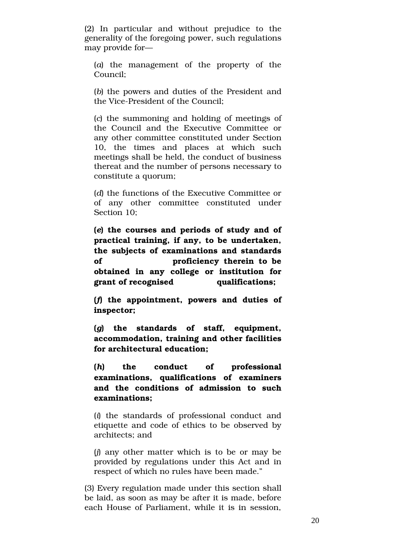(2) In particular and without prejudice to the generality of the foregoing power, such regulations may provide for—

(*a*) the management of the property of the Council;

(*b*) the powers and duties of the President and the Vice-President of the Council;

(*c*) the summoning and holding of meetings of the Council and the Executive Committee or any other committee constituted under Section 10, the times and places at which such meetings shall be held, the conduct of business thereat and the number of persons necessary to constitute a quorum;

(*d*) the functions of the Executive Committee or of any other committee constituted under Section 10;

**(***e***) the courses and periods of study and of practical training, if any, to be undertaken, the subjects of examinations and standards of proficiency therein to be obtained in any college or institution for grant of recognised qualifications;**

**(***f***) the appointment, powers and duties of inspector;**

**(***g***) the standards of staff, equipment, accommodation, training and other facilities for architectural education;**

**(***h***) the conduct of professional examinations, qualifications of examiners and the conditions of admission to such examinations;**

(*i*) the standards of professional conduct and etiquette and code of ethics to be observed by architects; and

(*j*) any other matter which is to be or may be provided by regulations under this Act and in respect of which no rules have been made."

(3) Every regulation made under this section shall be laid, as soon as may be after it is made, before each House of Parliament, while it is in session,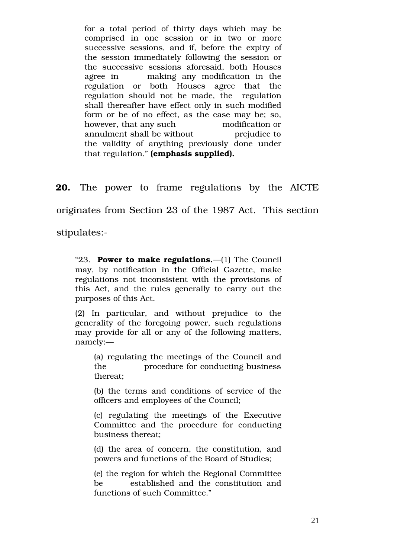for a total period of thirty days which may be comprised in one session or in two or more successive sessions, and if, before the expiry of the session immediately following the session or the successive sessions aforesaid, both Houses agree in  $\qquad$  making any modification in the regulation or both Houses agree that the regulation should not be made, the regulation shall thereafter have effect only in such modified form or be of no effect, as the case may be; so, however, that any such modification or annulment shall be without **but** prejudice to the validity of anything previously done under that regulation." **(emphasis supplied).**

**20.** The power to frame regulations by the AICTE

originates from Section 23 of the 1987 Act. This section

stipulates:

"23. **Power to make regulations.**—(1) The Council may, by notification in the Official Gazette, make regulations not inconsistent with the provisions of this Act, and the rules generally to carry out the purposes of this Act.

(2) In particular, and without prejudice to the generality of the foregoing power, such regulations may provide for all or any of the following matters, namely:—

(a) regulating the meetings of the Council and the procedure for conducting business thereat;

(b) the terms and conditions of service of the officers and employees of the Council;

(c) regulating the meetings of the Executive Committee and the procedure for conducting business thereat;

(d) the area of concern, the constitution, and powers and functions of the Board of Studies;

(e) the region for which the Regional Committee be established and the constitution and functions of such Committee."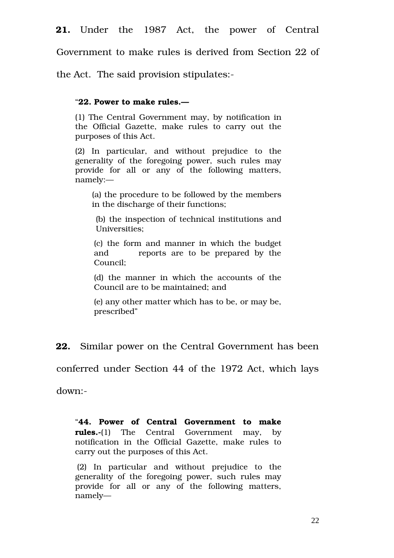Government to make rules is derived from Section 22 of

the Act. The said provision stipulates:

### "**22. Power to make rules.—**

(1) The Central Government may, by notification in the Official Gazette, make rules to carry out the purposes of this Act.

(2) In particular, and without prejudice to the generality of the foregoing power, such rules may provide for all or any of the following matters, namely:—

(a) the procedure to be followed by the members in the discharge of their functions;

(b) the inspection of technical institutions and Universities;

(c) the form and manner in which the budget and reports are to be prepared by the Council;

(d) the manner in which the accounts of the Council are to be maintained; and

(e) any other matter which has to be, or may be, prescribed"

**22.** Similar power on the Central Government has been

conferred under Section 44 of the 1972 Act, which lays

down:

"**44. Power of Central Government to make rules.**-(1) The Central Government may, by notification in the Official Gazette, make rules to carry out the purposes of this Act.

(2) In particular and without prejudice to the generality of the foregoing power, such rules may provide for all or any of the following matters, namely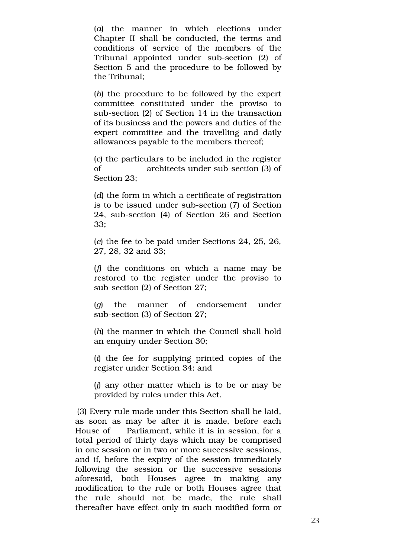(*a*) the manner in which elections under Chapter II shall be conducted, the terms and conditions of service of the members of the Tribunal appointed under sub-section (2) of Section 5 and the procedure to be followed by the Tribunal;

(*b*) the procedure to be followed by the expert committee constituted under the proviso to sub-section (2) of Section 14 in the transaction of its business and the powers and duties of the expert committee and the travelling and daily allowances payable to the members thereof;

(*c*) the particulars to be included in the register of architects under sub-section (3) of Section 23;

(*d*) the form in which a certificate of registration is to be issued under sub-section (7) of Section 24, sub-section (4) of Section 26 and Section 33;

(*e*) the fee to be paid under Sections 24, 25, 26, 27, 28, 32 and 33;

(*f*) the conditions on which a name may be restored to the register under the proviso to sub-section (2) of Section 27;

(*g*) the manner of endorsement under sub-section (3) of Section 27;

(*h*) the manner in which the Council shall hold an enquiry under Section 30;

(*i*) the fee for supplying printed copies of the register under Section 34; and

(*j*) any other matter which is to be or may be provided by rules under this Act.

(3) Every rule made under this Section shall be laid, as soon as may be after it is made, before each House of Parliament, while it is in session, for a total period of thirty days which may be comprised in one session or in two or more successive sessions, and if, before the expiry of the session immediately following the session or the successive sessions aforesaid, both Houses agree in making any modification to the rule or both Houses agree that the rule should not be made, the rule shall thereafter have effect only in such modified form or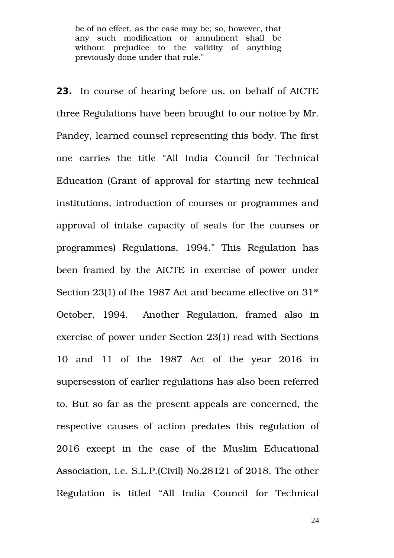be of no effect, as the case may be; so, however, that any such modification or annulment shall be without prejudice to the validity of anything previously done under that rule."

**23.** In course of hearing before us, on behalf of AICTE three Regulations have been brought to our notice by Mr. Pandey, learned counsel representing this body. The first one carries the title "All India Council for Technical Education (Grant of approval for starting new technical institutions, introduction of courses or programmes and approval of intake capacity of seats for the courses or programmes) Regulations, 1994." This Regulation has been framed by the AICTE in exercise of power under Section 23(1) of the 1987 Act and became effective on  $31<sup>st</sup>$ October, 1994. Another Regulation, framed also in exercise of power under Section 23(1) read with Sections 10 and 11 of the 1987 Act of the vear 2016 in supersession of earlier regulations has also been referred to. But so far as the present appeals are concerned, the respective causes of action predates this regulation of 2016 except in the case of the Muslim Educational Association, i.e. S.L.P.(Civil) No.28121 of 2018. The other Regulation is titled "All India Council for Technical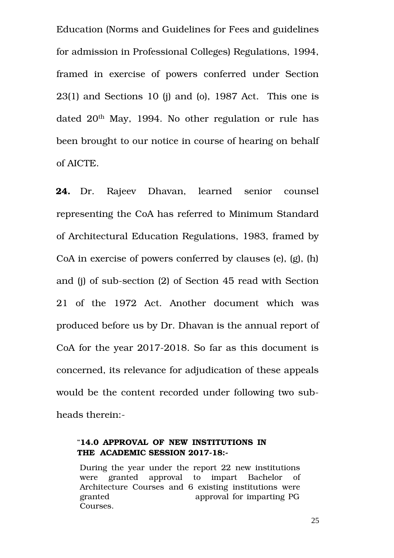Education (Norms and Guidelines for Fees and guidelines for admission in Professional Colleges) Regulations, 1994, framed in exercise of powers conferred under Section  $23(1)$  and Sections 10 (i) and (o), 1987 Act. This one is dated 20<sup>th</sup> May, 1994. No other regulation or rule has been brought to our notice in course of hearing on behalf of AICTE.

24. Dr. Rajeev Dhavan, learned senior counsel representing the CoA has referred to Minimum Standard of Architectural Education Regulations, 1983, framed by CoA in exercise of powers conferred by clauses (e), (g), (h) and (j) of sub-section (2) of Section 45 read with Section 21 of the 1972 Act. Another document which was produced before us by Dr. Dhavan is the annual report of CoA for the year  $2017-2018$ . So far as this document is concerned, its relevance for adjudication of these appeals would be the content recorded under following two subheads therein:

## "**14.0 APPROVAL OF NEW INSTITUTIONS IN** THE ACADEMIC SESSION 2017-18:-

During the year under the report 22 new institutions were granted approval to impart Bachelor of Architecture Courses and 6 existing institutions were granted approval for imparting PG Courses.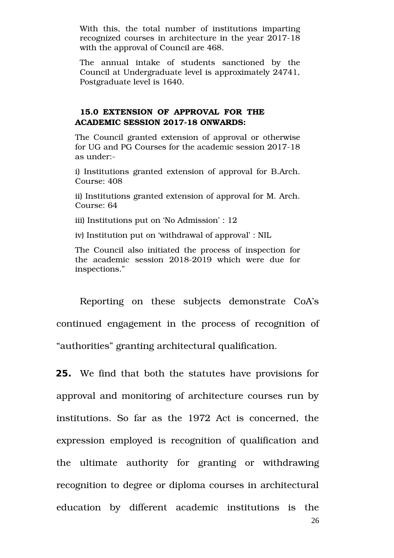With this, the total number of institutions imparting recognized courses in architecture in the year 2017-18 with the approval of Council are 468.

The annual intake of students sanctioned by the Council at Undergraduate level is approximately 24741, Postgraduate level is 1640.

## **15.0 EXTENSION OF APPROVAL FOR THE ACADEMIC SESSION 2017-18 ONWARDS:**

The Council granted extension of approval or otherwise for UG and PG Courses for the academic session 2017-18 as under:

i) Institutions granted extension of approval for B.Arch. Course: 408

ii) Institutions granted extension of approval for M. Arch. Course: 64

iii) Institutions put on 'No Admission' : 12

iv) Institution put on 'withdrawal of approval' : NIL

The Council also initiated the process of inspection for the academic session 2018-2019 which were due for inspections."

Reporting on these subjects demonstrate CoA's continued engagement in the process of recognition of "authorities" granting architectural qualification.

**25.** We find that both the statutes have provisions for approval and monitoring of architecture courses run by institutions. So far as the 1972 Act is concerned, the expression employed is recognition of qualification and the ultimate authority for granting or withdrawing recognition to degree or diploma courses in architectural education by different academic institutions is the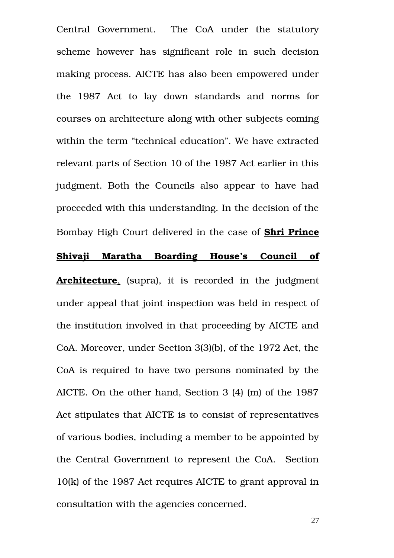Central Government. The CoA under the statutory scheme however has significant role in such decision making process. AICTE has also been empowered under the 1987 Act to lay down standards and norms for courses on architecture along with other subjects coming within the term "technical education". We have extracted relevant parts of Section 10 of the 1987 Act earlier in this judgment. Both the Councils also appear to have had proceeded with this understanding. In the decision of the Bombay High Court delivered in the case of **Shri Prince Shivaji Maratha Boarding House's Council of**

**Architecture**, (supra), it is recorded in the judgment under appeal that joint inspection was held in respect of the institution involved in that proceeding by AICTE and CoA. Moreover, under Section 3(3)(b), of the 1972 Act, the CoA is required to have two persons nominated by the AICTE. On the other hand, Section 3 (4) (m) of the 1987 Act stipulates that AICTE is to consist of representatives of various bodies, including a member to be appointed by the Central Government to represent the CoA. Section 10(k) of the 1987 Act requires AICTE to grant approval in consultation with the agencies concerned.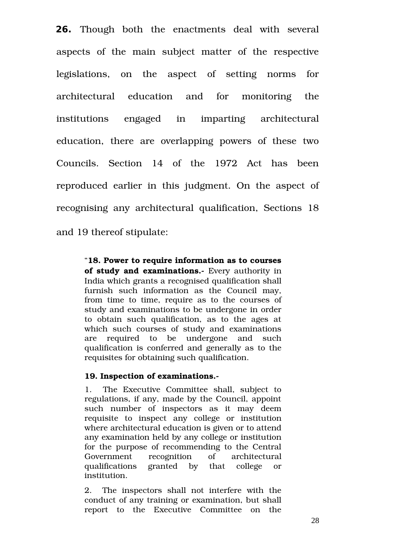**26.** Though both the enactments deal with several aspects of the main subject matter of the respective legislations, on the aspect of setting norms for architectural education and for monitoring the institutions engaged in imparting architectural education, there are overlapping powers of these two Councils. Section 14 of the 1972 Act has been reproduced earlier in this judgment. On the aspect of recognising any architectural qualification, Sections 18 and 19 thereof stipulate:

> "**18. Power to require information as to courses of study and examinations.** Every authority in India which grants a recognised qualification shall furnish such information as the Council may, from time to time, require as to the courses of study and examinations to be undergone in order to obtain such qualification, as to the ages at which such courses of study and examinations are required to be undergone and such qualification is conferred and generally as to the requisites for obtaining such qualification.

### **19. Inspection of examinations.**

1. The Executive Committee shall, subject to regulations, if any, made by the Council, appoint such number of inspectors as it may deem requisite to inspect any college or institution where architectural education is given or to attend any examination held by any college or institution for the purpose of recommending to the Central Government recognition of architectural qualifications granted by that college or institution.

2. The inspectors shall not interfere with the conduct of any training or examination, but shall report to the Executive Committee on the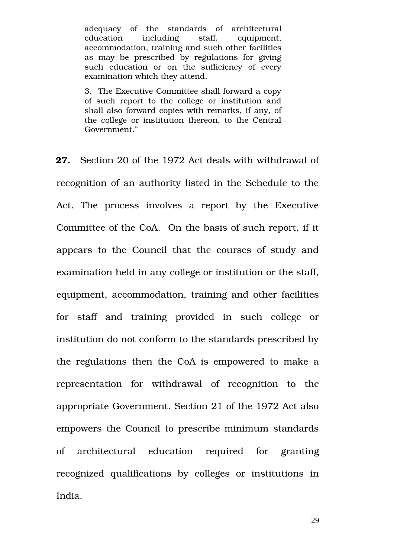adequacy of the standards of architectural education including staff, equipment, accommodation, training and such other facilities as may be prescribed by regulations for giving such education or on the sufficiency of every examination which they attend.

3. The Executive Committee shall forward a copy of such report to the college or institution and shall also forward copies with remarks, if any, of the college or institution thereon, to the Central Government."

**27.** Section 20 of the 1972 Act deals with withdrawal of recognition of an authority listed in the Schedule to the Act. The process involves a report by the Executive Committee of the CoA. On the basis of such report, if it appears to the Council that the courses of study and examination held in any college or institution or the staff, equipment, accommodation, training and other facilities for staff and training provided in such college or institution do not conform to the standards prescribed by the regulations then the CoA is empowered to make a representation for withdrawal of recognition to the appropriate Government. Section 21 of the 1972 Act also empowers the Council to prescribe minimum standards of architectural education required for granting recognized qualifications by colleges or institutions in India.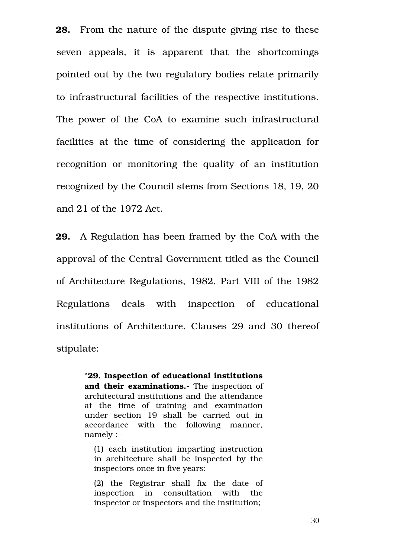**28.** From the nature of the dispute giving rise to these seven appeals, it is apparent that the shortcomings pointed out by the two regulatory bodies relate primarily to infrastructural facilities of the respective institutions. The power of the CoA to examine such infrastructural facilities at the time of considering the application for recognition or monitoring the quality of an institution recognized by the Council stems from Sections 18, 19, 20 and 21 of the 1972 Act.

**29.** A Regulation has been framed by the CoA with the approval of the Central Government titled as the Council of Architecture Regulations, 1982. Part VIII of the 1982 Regulations deals with inspection of educational institutions of Architecture. Clauses 29 and 30 thereof stipulate:

> "**29. Inspection of educational institutions** and their examinations.- The inspection of architectural institutions and the attendance at the time of training and examination under section 19 shall be carried out in accordance with the following manner, namely :

(1) each institution imparting instruction in architecture shall be inspected by the inspectors once in five years:

(2) the Registrar shall fix the date of inspection in consultation with the inspector or inspectors and the institution;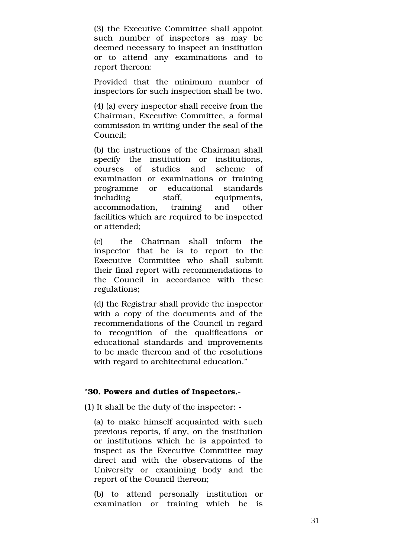(3) the Executive Committee shall appoint such number of inspectors as may be deemed necessary to inspect an institution or to attend any examinations and to report thereon:

Provided that the minimum number of inspectors for such inspection shall be two.

(4) (a) every inspector shall receive from the Chairman, Executive Committee, a formal commission in writing under the seal of the Council;

(b) the instructions of the Chairman shall specify the institution or institutions. courses of studies and scheme of examination or examinations or training programme or educational standards including staff, equipments, accommodation, training and other facilities which are required to be inspected or attended;

(c) the Chairman shall inform the inspector that he is to report to the Executive Committee who shall submit their final report with recommendations to the Council in accordance with these regulations;

(d) the Registrar shall provide the inspector with a copy of the documents and of the recommendations of the Council in regard to recognition of the qualifications or educational standards and improvements to be made thereon and of the resolutions with regard to architectural education."

### "**30. Powers and duties of Inspectors.**

(1) It shall be the duty of the inspector:

(a) to make himself acquainted with such previous reports, if any, on the institution or institutions which he is appointed to inspect as the Executive Committee may direct and with the observations of the University or examining body and the report of the Council thereon;

(b) to attend personally institution or examination or training which he is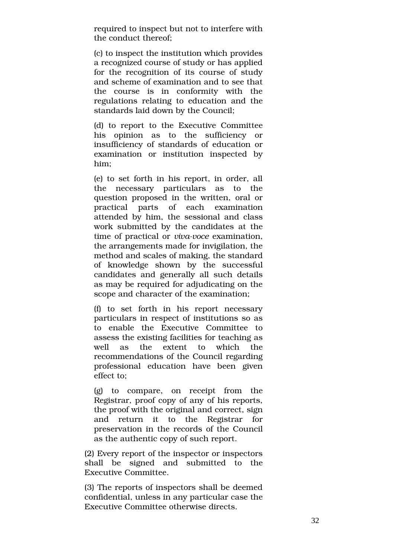required to inspect but not to interfere with the conduct thereof;

(c) to inspect the institution which provides a recognized course of study or has applied for the recognition of its course of study and scheme of examination and to see that the course is in conformity with the regulations relating to education and the standards laid down by the Council;

(d) to report to the Executive Committee his opinion as to the sufficiency or insufficiency of standards of education or examination or institution inspected by him;

(e) to set forth in his report, in order, all the necessary particulars as to the question proposed in the written, oral or practical parts of each examination attended by him, the sessional and class work submitted by the candidates at the time of practical or *viva-voce* examination, the arrangements made for invigilation, the method and scales of making, the standard of knowledge shown by the successful candidates and generally all such details as may be required for adjudicating on the scope and character of the examination;

(f) to set forth in his report necessary particulars in respect of institutions so as to enable the Executive Committee to assess the existing facilities for teaching as well as the extent to which the recommendations of the Council regarding professional education have been given effect to;

(g) to compare, on receipt from the Registrar, proof copy of any of his reports, the proof with the original and correct, sign and return it to the Registrar for preservation in the records of the Council as the authentic copy of such report.

(2) Every report of the inspector or inspectors shall be signed and submitted to the Executive Committee.

(3) The reports of inspectors shall be deemed confidential, unless in any particular case the Executive Committee otherwise directs.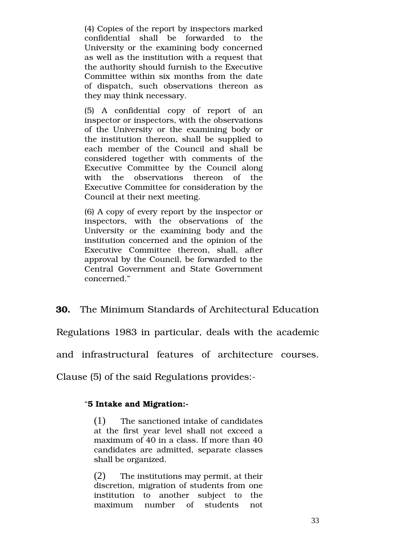(4) Copies of the report by inspectors marked confidential shall be forwarded to the University or the examining body concerned as well as the institution with a request that the authority should furnish to the Executive Committee within six months from the date of dispatch, such observations thereon as they may think necessary.

(5) A confidential copy of report of an inspector or inspectors, with the observations of the University or the examining body or the institution thereon, shall be supplied to each member of the Council and shall be considered together with comments of the Executive Committee by the Council along with the observations thereon of the Executive Committee for consideration by the Council at their next meeting.

(6) A copy of every report by the inspector or inspectors, with the observations of the University or the examining body and the institution concerned and the opinion of the Executive Committee thereon, shall, after approval by the Council, be forwarded to the Central Government and State Government concerned."

**30.** The Minimum Standards of Architectural Education

Regulations 1983 in particular, deals with the academic

and infrastructural features of architecture courses.

Clause (5) of the said Regulations provides:

### "**5 Intake and Migration:**

(1) The sanctioned intake of candidates at the first year level shall not exceed a maximum of 40 in a class. If more than 40 candidates are admitted, separate classes shall be organized.

(2) The institutions may permit, at their discretion, migration of students from one institution to another subject to the maximum number of students not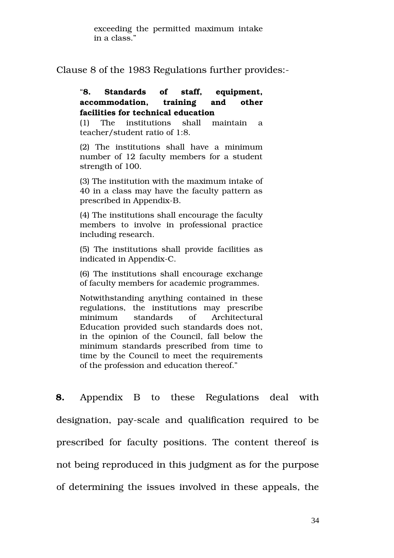exceeding the permitted maximum intake in a class."

Clause 8 of the 1983 Regulations further provides:

## "**8. Standards of staff, equipment, accommodation, training and other facilities for technical education**

(1) The institutions shall maintain a teacher/student ratio of 1:8.

(2) The institutions shall have a minimum number of 12 faculty members for a student strength of 100.

(3) The institution with the maximum intake of 40 in a class may have the faculty pattern as prescribed in Appendix-B.

(4) The institutions shall encourage the faculty members to involve in professional practice including research.

(5) The institutions shall provide facilities as indicated in Appendix-C.

(6) The institutions shall encourage exchange of faculty members for academic programmes.

Notwithstanding anything contained in these regulations, the institutions may prescribe minimum standards of Architectural Education provided such standards does not, in the opinion of the Council, fall below the minimum standards prescribed from time to time by the Council to meet the requirements of the profession and education thereof."

**8.** Appendix B to these Regulations deal with designation, pay-scale and qualification required to be prescribed for faculty positions. The content thereof is not being reproduced in this judgment as for the purpose of determining the issues involved in these appeals, the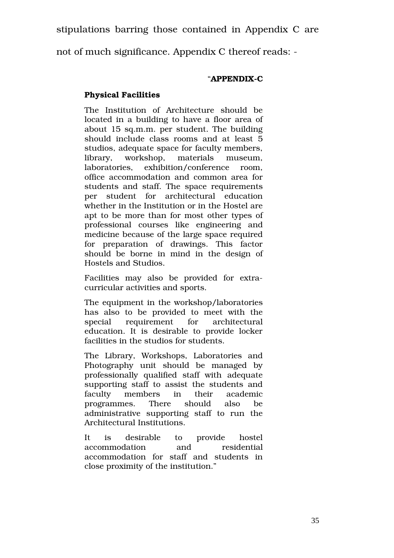stipulations barring those contained in Appendix C are

not of much significance. Appendix C thereof reads:

# "APPENDIX-C

# **Physical Facilities**

The Institution of Architecture should be located in a building to have a floor area of about 15 sq.m.m. per student. The building should include class rooms and at least 5 studios, adequate space for faculty members, library, workshop, materials museum, laboratories, exhibition/conference room, office accommodation and common area for students and staff. The space requirements per student for architectural education whether in the Institution or in the Hostel are apt to be more than for most other types of professional courses like engineering and medicine because of the large space required for preparation of drawings. This factor should be borne in mind in the design of Hostels and Studios.

Facilities may also be provided for extracurricular activities and sports.

The equipment in the workshop/laboratories has also to be provided to meet with the special requirement for architectural education. It is desirable to provide locker facilities in the studios for students.

The Library, Workshops, Laboratories and Photography unit should be managed by professionally qualified staff with adequate supporting staff to assist the students and faculty members in their academic programmes. There should also be administrative supporting staff to run the Architectural Institutions.

It is desirable to provide hostel accommodation and residential accommodation for staff and students in close proximity of the institution."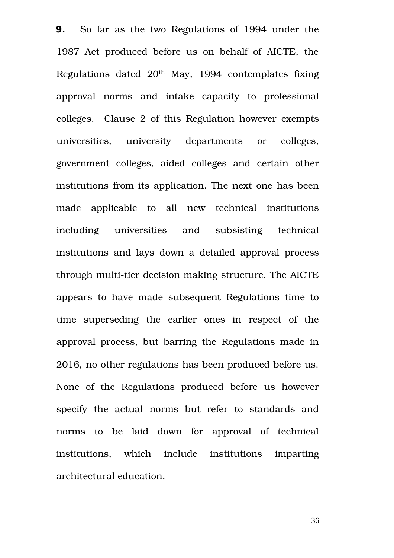**9.** So far as the two Regulations of 1994 under the 1987 Act produced before us on behalf of AICTE, the Regulations dated  $20<sup>th</sup>$  May, 1994 contemplates fixing approval norms and intake capacity to professional colleges. Clause 2 of this Regulation however exempts universities, university departments or colleges, government colleges, aided colleges and certain other institutions from its application. The next one has been made applicable to all new technical institutions including universities and subsisting technical institutions and lays down a detailed approval process through multi-tier decision making structure. The AICTE appears to have made subsequent Regulations time to time superseding the earlier ones in respect of the approval process, but barring the Regulations made in 2016, no other regulations has been produced before us. None of the Regulations produced before us however specify the actual norms but refer to standards and norms to be laid down for approval of technical institutions, which include institutions imparting architectural education.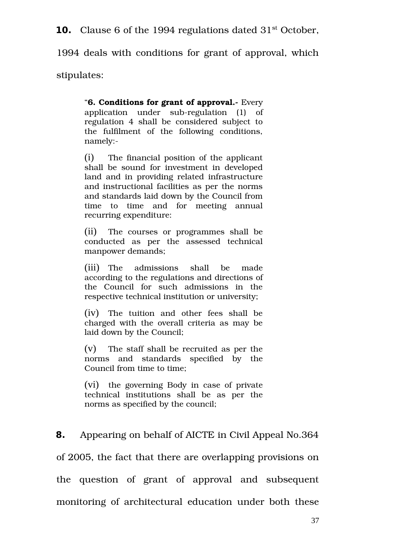**10.** Clause 6 of the 1994 regulations dated 31<sup>st</sup> October,

1994 deals with conditions for grant of approval, which

stipulates:

"**6. Conditions for grant of approval.** Every application under  $sub-regulation$  (1) of regulation 4 shall be considered subject to the fulfilment of the following conditions, namely:

(i) The financial position of the applicant shall be sound for investment in developed land and in providing related infrastructure and instructional facilities as per the norms and standards laid down by the Council from time to time and for meeting annual recurring expenditure:

(ii) The courses or programmes shall be conducted as per the assessed technical manpower demands;

(iii) The admissions shall be made according to the regulations and directions of the Council for such admissions in the respective technical institution or university;

(iv) The tuition and other fees shall be charged with the overall criteria as may be laid down by the Council;

(v) The staff shall be recruited as per the norms and standards specified by the Council from time to time;

(vi) the governing Body in case of private technical institutions shall be as per the norms as specified by the council;

**8.** Appearing on behalf of AICTE in Civil Appeal No.364 of 2005, the fact that there are overlapping provisions on the question of grant of approval and subsequent monitoring of architectural education under both these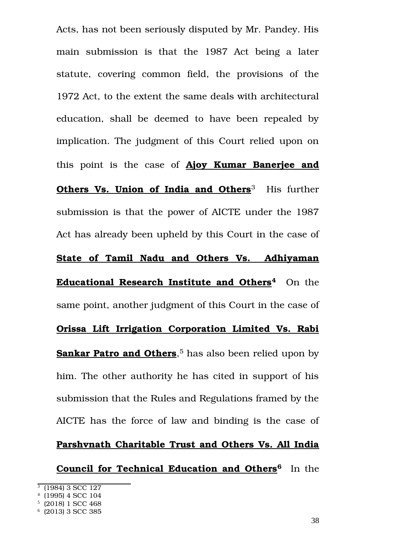Acts, has not been seriously disputed by Mr. Pandey. His main submission is that the 1987 Act being a later statute, covering common field, the provisions of the 1972 Act, to the extent the same deals with architectural education, shall be deemed to have been repealed by implication. The judgment of this Court relied upon on this point is the case of **Ajoy Kumar Banerjee and Others Vs. Union of India and Others**<sup>[3](#page-37-0)</sup> His further submission is that the power of AICTE under the 1987 Act has already been upheld by this Court in the case of **State of Tamil Nadu and Others Vs. Adhiyaman Educational Research Institute and Others[4](#page-37-1)** On the same point, another judgment of this Court in the case of **Orissa Lift Irrigation Corporation Limited Vs. Rabi Sankar Patro and Others**, [5](#page-37-2) has also been relied upon by him. The other authority he has cited in support of his submission that the Rules and Regulations framed by the AICTE has the force of law and binding is the case of **Parshvnath Charitable Trust and Others Vs. All India**

**Council for Technical Education and Others[6](#page-37-3)** In the

<span id="page-37-0"></span><sup>3</sup> (1984) 3 SCC 127

<span id="page-37-1"></span><sup>4</sup> (1995) 4 SCC 104

<span id="page-37-2"></span><sup>5</sup> (2018) 1 SCC 468

<span id="page-37-3"></span><sup>6</sup> (2013) 3 SCC 385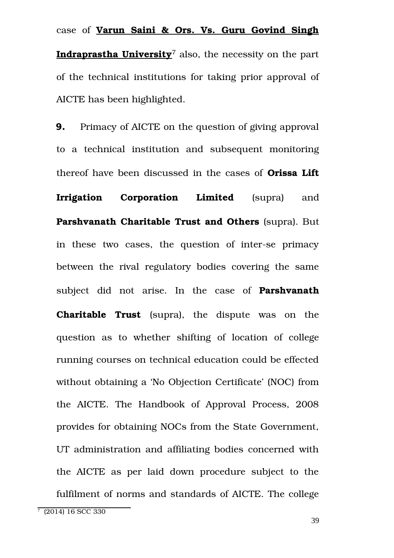case of **Varun Saini & Ors. Vs. Guru Govind Singh Indraprastha University**[7](#page-38-0) also, the necessity on the part of the technical institutions for taking prior approval of AICTE has been highlighted.

**9.** Primacy of AICTE on the question of giving approval to a technical institution and subsequent monitoring thereof have been discussed in the cases of **Orissa Lift Irrigation Corporation Limited** (supra) and **Parshvanath Charitable Trust and Others** (supra). But in these two cases, the question of inter-se primacy between the rival regulatory bodies covering the same subject did not arise. In the case of **Parshvanath Charitable Trust** (supra), the dispute was on the question as to whether shifting of location of college running courses on technical education could be effected without obtaining a 'No Objection Certificate' (NOC) from the AICTE. The Handbook of Approval Process, 2008 provides for obtaining NOCs from the State Government, UT administration and affiliating bodies concerned with the AICTE as per laid down procedure subject to the fulfilment of norms and standards of AICTE. The college

<span id="page-38-0"></span><sup>7</sup> (2014) 16 SCC 330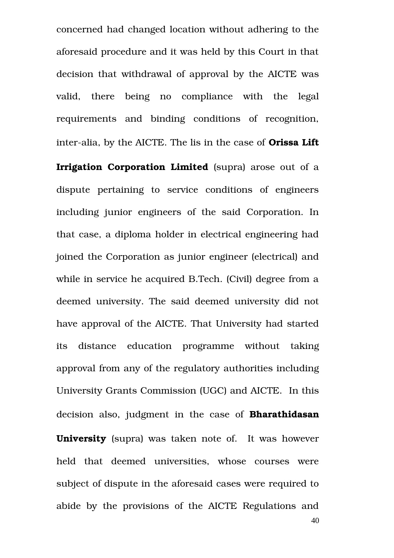concerned had changed location without adhering to the aforesaid procedure and it was held by this Court in that decision that withdrawal of approval by the AICTE was valid, there being no compliance with the legal requirements and binding conditions of recognition, inter-alia, by the AICTE. The lis in the case of **Orissa Lift** 

**Irrigation Corporation Limited** (supra) arose out of a dispute pertaining to service conditions of engineers including junior engineers of the said Corporation. In that case, a diploma holder in electrical engineering had joined the Corporation as junior engineer (electrical) and while in service he acquired B.Tech. (Civil) degree from a deemed university. The said deemed university did not have approval of the AICTE. That University had started its distance education programme without taking approval from any of the regulatory authorities including University Grants Commission (UGC) and AICTE. In this decision also, judgment in the case of **Bharathidasan University** (supra) was taken note of. It was however held that deemed universities, whose courses were subject of dispute in the aforesaid cases were required to abide by the provisions of the AICTE Regulations and 40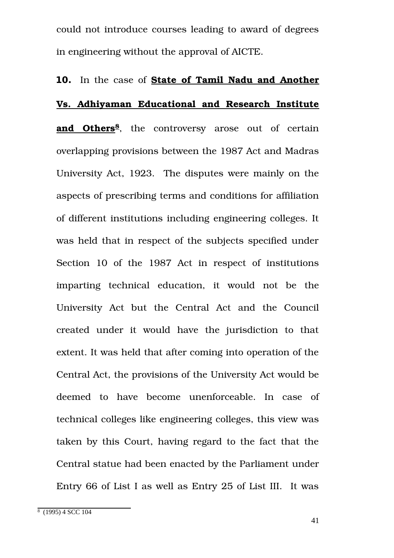could not introduce courses leading to award of degrees in engineering without the approval of AICTE.

## **10.** In the case of **State of Tamil Nadu and Another**

## **Vs. Adhiyaman Educational and Research Institute**

and Others<sup>[8](#page-40-0)</sup>, the controversy arose out of certain overlapping provisions between the 1987 Act and Madras University Act, 1923. The disputes were mainly on the aspects of prescribing terms and conditions for affiliation of different institutions including engineering colleges. It was held that in respect of the subjects specified under Section 10 of the 1987 Act in respect of institutions imparting technical education, it would not be the University Act but the Central Act and the Council created under it would have the jurisdiction to that extent. It was held that after coming into operation of the Central Act, the provisions of the University Act would be deemed to have become unenforceable. In case of technical colleges like engineering colleges, this view was taken by this Court, having regard to the fact that the Central statue had been enacted by the Parliament under Entry 66 of List I as well as Entry 25 of List III. It was

<span id="page-40-0"></span><sup>8</sup> (1995) 4 SCC 104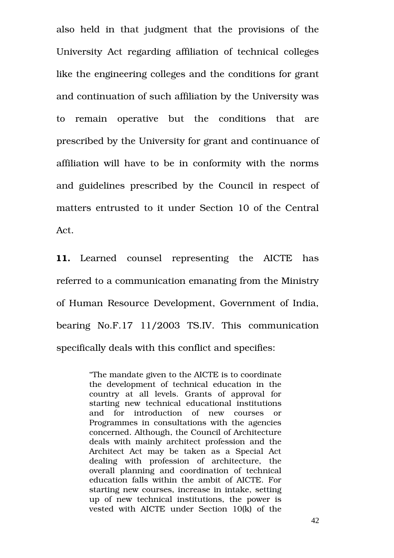also held in that judgment that the provisions of the University Act regarding affiliation of technical colleges like the engineering colleges and the conditions for grant and continuation of such affiliation by the University was to remain operative but the conditions that are prescribed by the University for grant and continuance of affiliation will have to be in conformity with the norms and guidelines prescribed by the Council in respect of matters entrusted to it under Section 10 of the Central Act.

11. Learned counsel representing the AICTE has referred to a communication emanating from the Ministry of Human Resource Development, Government of India, bearing No.F.17 11/2003 TS.IV. This communication specifically deals with this conflict and specifies:

> "The mandate given to the AICTE is to coordinate the development of technical education in the country at all levels. Grants of approval for starting new technical educational institutions and for introduction of new courses or Programmes in consultations with the agencies concerned. Although, the Council of Architecture deals with mainly architect profession and the Architect Act may be taken as a Special Act dealing with profession of architecture, the overall planning and coordination of technical education falls within the ambit of AICTE. For starting new courses, increase in intake, setting up of new technical institutions, the power is vested with AICTE under Section 10(k) of the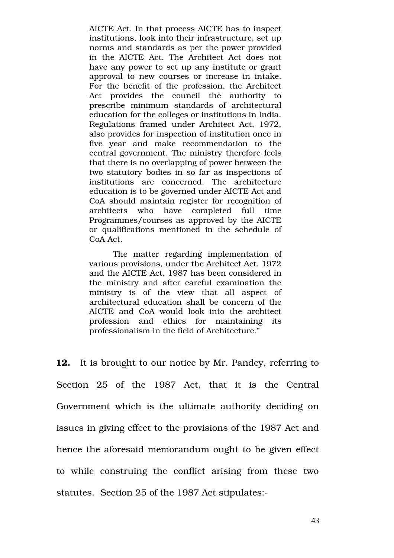AICTE Act. In that process AICTE has to inspect institutions, look into their infrastructure, set up norms and standards as per the power provided in the AICTE Act. The Architect Act does not have any power to set up any institute or grant approval to new courses or increase in intake. For the benefit of the profession, the Architect Act provides the council the authority to prescribe minimum standards of architectural education for the colleges or institutions in India. Regulations framed under Architect Act, 1972, also provides for inspection of institution once in five year and make recommendation to the central government. The ministry therefore feels that there is no overlapping of power between the two statutory bodies in so far as inspections of institutions are concerned. The architecture education is to be governed under AICTE Act and CoA should maintain register for recognition of architects who have completed full time Programmes/courses as approved by the AICTE or qualifications mentioned in the schedule of CoA Act.

The matter regarding implementation of various provisions, under the Architect Act, 1972 and the AICTE Act, 1987 has been considered in the ministry and after careful examination the ministry is of the view that all aspect of architectural education shall be concern of the AICTE and CoA would look into the architect profession and ethics for maintaining its professionalism in the field of Architecture."

**12.** It is brought to our notice by Mr. Pandey, referring to Section 25 of the 1987 Act, that it is the Central Government which is the ultimate authority deciding on issues in giving effect to the provisions of the 1987 Act and hence the aforesaid memorandum ought to be given effect to while construing the conflict arising from these two statutes. Section 25 of the 1987 Act stipulates: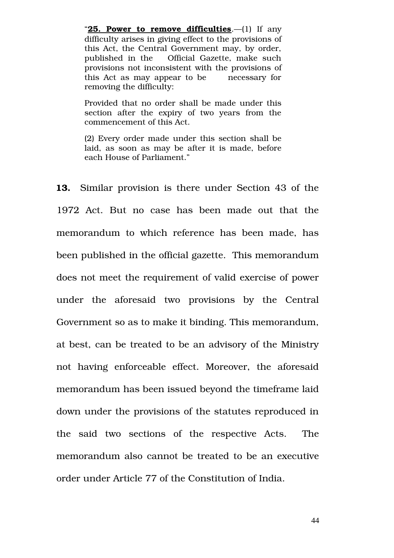"**25. Power to remove difficulties.**—(1) If any difficulty arises in giving effect to the provisions of this Act, the Central Government may, by order, published in the Official Gazette, make such provisions not inconsistent with the provisions of this Act as may appear to be necessary for removing the difficulty:

Provided that no order shall be made under this section after the expiry of two years from the commencement of this Act.

(2) Every order made under this section shall be laid, as soon as may be after it is made, before each House of Parliament."

**13.** Similar provision is there under Section 43 of the 1972 Act. But no case has been made out that the memorandum to which reference has been made, has been published in the official gazette. This memorandum does not meet the requirement of valid exercise of power under the aforesaid two provisions by the Central Government so as to make it binding. This memorandum, at best, can be treated to be an advisory of the Ministry not having enforceable effect. Moreover, the aforesaid memorandum has been issued beyond the timeframe laid down under the provisions of the statutes reproduced in the said two sections of the respective Acts. The memorandum also cannot be treated to be an executive order under Article 77 of the Constitution of India.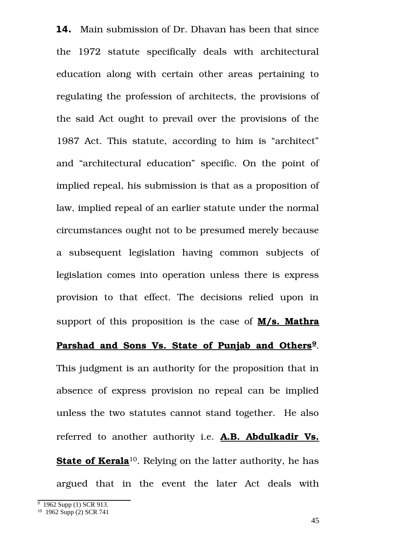**14.** Main submission of Dr. Dhavan has been that since the 1972 statute specifically deals with architectural education along with certain other areas pertaining to regulating the profession of architects, the provisions of the said Act ought to prevail over the provisions of the 1987 Act. This statute, according to him is "architect" and "architectural education" specific. On the point of implied repeal, his submission is that as a proposition of law, implied repeal of an earlier statute under the normal circumstances ought not to be presumed merely because a subsequent legislation having common subjects of legislation comes into operation unless there is express provision to that effect. The decisions relied upon in support of this proposition is the case of **M/s. Mathra Parshad and Sons Vs. State of Punjab and Others[9](#page-44-0)**. This judgment is an authority for the proposition that in absence of express provision no repeal can be implied unless the two statutes cannot stand together. He also referred to another authority i.e. **A.B. Abdulkadir Vs. State of Kerala**<sup>[10](#page-44-1)</sup>. Relying on the latter authority, he has argued that in the event the later Act deals with

<span id="page-44-0"></span><sup>&</sup>lt;sup>9</sup> 1962 Supp (1) SCR 913.

<span id="page-44-1"></span><sup>10</sup> 1962 Supp (2) SCR 741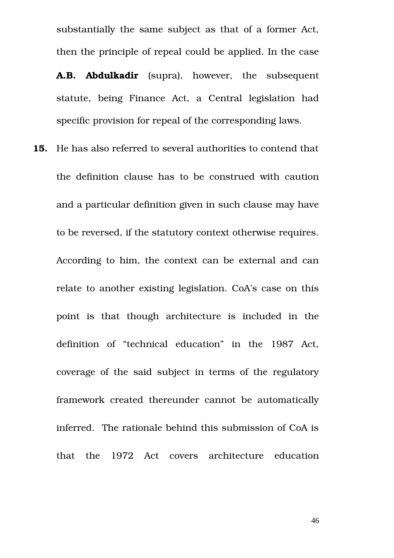substantially the same subject as that of a former Act, then the principle of repeal could be applied. In the case

**A.B. Abdulkadir** (supra), however, the subsequent statute, being Finance Act, a Central legislation had specific provision for repeal of the corresponding laws.

**15.** He has also referred to several authorities to contend that the definition clause has to be construed with caution and a particular definition given in such clause may have to be reversed, if the statutory context otherwise requires. According to him, the context can be external and can relate to another existing legislation. CoA's case on this point is that though architecture is included in the definition of "technical education" in the 1987 Act, coverage of the said subject in terms of the regulatory framework created thereunder cannot be automatically inferred. The rationale behind this submission of CoA is that the 1972 Act covers architecture education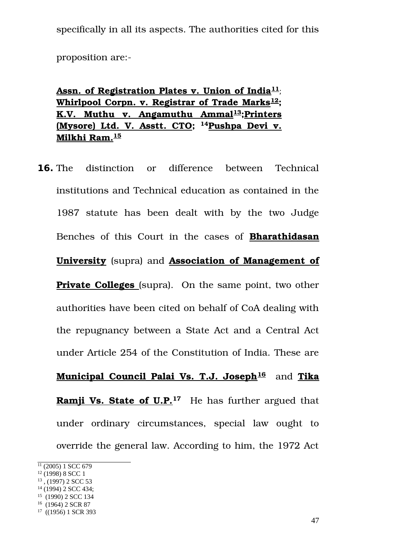specifically in all its aspects. The authorities cited for this

proposition are:

 **Assn. of Registration Plates v. Union of India[11](#page-46-0)**; **Whirlpool Corpn. v. Registrar of Trade Marks[12](#page-46-1); K.V. Muthu v. Angamuthu Ammal[13](#page-46-2);Printers (Mysore) Ltd. V. Asstt. CTO; [14](#page-46-3)Pushpa Devi v. Milkhi Ram.[15](#page-46-4)**

**16.** The distinction or difference between Technical institutions and Technical education as contained in the 1987 statute has been dealt with by the two Judge Benches of this Court in the cases of **Bharathidasan University** (supra) and **Association of Management of Private Colleges** (supra). On the same point, two other authorities have been cited on behalf of CoA dealing with the repugnancy between a State Act and a Central Act under Article 254 of the Constitution of India. These are  **Municipal Council Palai Vs. T.J. Joseph[16](#page-46-5)** and **Tika Ramji Vs. State of U.P.**<sup>[17](#page-46-6)</sup> He has further argued that under ordinary circumstances, special law ought to override the general law. According to him, the 1972 Act

<span id="page-46-3"></span><sup>14</sup> (1994) 2 SCC 434;

<span id="page-46-0"></span> $\frac{11}{11}$  (2005) 1 SCC 679

<span id="page-46-1"></span><sup>12</sup> (1998) 8 SCC 1

<span id="page-46-2"></span> $13$ , (1997) 2 SCC 53

<span id="page-46-4"></span><sup>&</sup>lt;sup>15</sup> (1990) 2 SCC 134

<span id="page-46-5"></span> $16$  (1964) 2 SCR 87

<span id="page-46-6"></span><sup>17</sup> ((1956) 1 SCR 393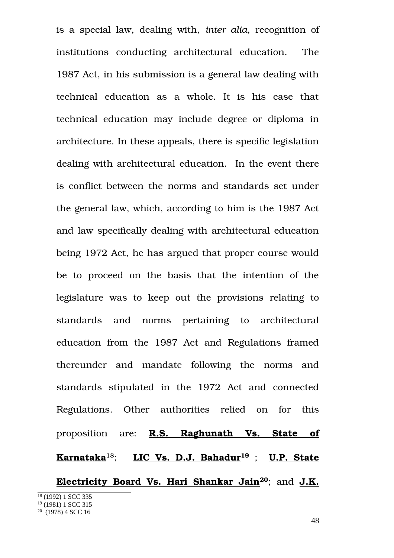is a special law, dealing with, *inter alia*, recognition of institutions conducting architectural education. The 1987 Act, in his submission is a general law dealing with technical education as a whole. It is his case that technical education may include degree or diploma in architecture. In these appeals, there is specific legislation dealing with architectural education. In the event there is conflict between the norms and standards set under the general law, which, according to him is the 1987 Act and law specifically dealing with architectural education being 1972 Act, he has argued that proper course would be to proceed on the basis that the intention of the legislature was to keep out the provisions relating to standards and norms pertaining to architectural education from the 1987 Act and Regulations framed thereunder and mandate following the norms and standards stipulated in the 1972 Act and connected Regulations. Other authorities relied on for this proposition are: **R.S. Raghunath Vs. State of Karnataka**[18](#page-47-0); **LIC Vs. D.J. Bahadur[19](#page-47-1)** ; **U.P. State Electricity Board Vs. Hari Shankar Jain[20](#page-47-2)**; and **J.K.** <sup>18</sup> (1992) 1 SCC 335 <sup>19</sup> (1981) 1 SCC 315

<span id="page-47-2"></span><span id="page-47-1"></span><span id="page-47-0"></span> $20(1978)$  4 SCC 16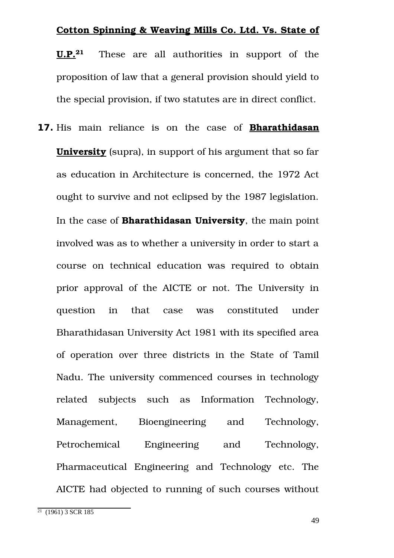## **Cotton Spinning & Weaving Mills Co. Ltd. Vs. State of**

**U.P.[21](#page-48-0)** These are all authorities in support of the proposition of law that a general provision should yield to the special provision, if two statutes are in direct conflict.

**17.** His main reliance is on the case of **Bharathidasan University** (supra), in support of his argument that so far as education in Architecture is concerned, the 1972 Act ought to survive and not eclipsed by the 1987 legislation. In the case of **Bharathidasan University**, the main point involved was as to whether a university in order to start a course on technical education was required to obtain prior approval of the AICTE or not. The University in question in that case was constituted under Bharathidasan University Act 1981 with its specified area of operation over three districts in the State of Tamil Nadu. The university commenced courses in technology related subjects such as Information Technology, Management, Bioengineering and Technology, Petrochemical Engineering and Technology, Pharmaceutical Engineering and Technology etc. The AICTE had objected to running of such courses without

<span id="page-48-0"></span> $21$  (1961) 3 SCR 185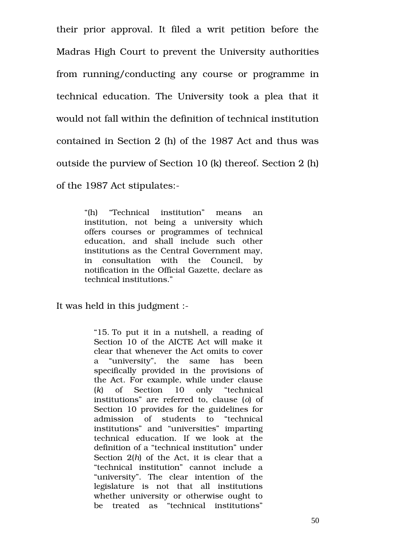their prior approval. It filed a writ petition before the Madras High Court to prevent the University authorities from running/conducting any course or programme in technical education. The University took a plea that it would not fall within the definition of technical institution contained in Section 2 (h) of the 1987 Act and thus was outside the purview of Section 10 (k) thereof. Section 2 (h) of the 1987 Act stipulates:

> "(h) "Technical institution" means an institution, not being a university which offers courses or programmes of technical education, and shall include such other institutions as the Central Government may, in consultation with the Council, by notification in the Official Gazette, declare as technical institutions."

It was held in this judgment :

"15. To put it in a nutshell, a reading of Section 10 of the AICTE Act will make it clear that whenever the Act omits to cover a "university", the same has been specifically provided in the provisions of the Act. For example, while under clause (*k*) of Section 10 only "technical institutions" are referred to, clause (*o*) of Section 10 provides for the guidelines for admission of students to "technical institutions" and "universities" imparting technical education. If we look at the definition of a "technical institution" under Section 2(*h*) of the Act, it is clear that a "technical institution" cannot include a "university". The clear intention of the legislature is not that all institutions whether university or otherwise ought to be treated as "technical institutions"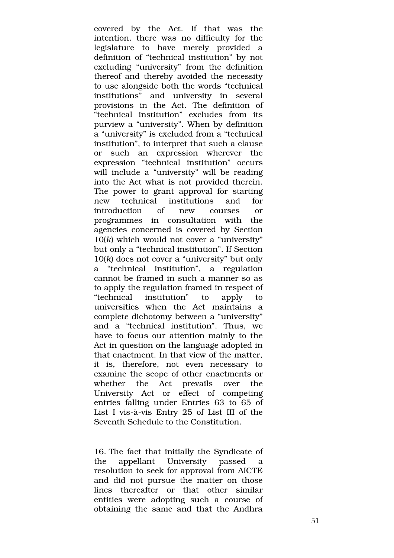covered by the Act. If that was the intention, there was no difficulty for the legislature to have merely provided a definition of "technical institution" by not excluding "university" from the definition thereof and thereby avoided the necessity to use alongside both the words "technical institutions" and university in several provisions in the Act. The definition of "technical institution" excludes from its purview a "university". When by definition a "university" is excluded from a "technical institution", to interpret that such a clause or such an expression wherever the expression "technical institution" occurs will include a "university" will be reading into the Act what is not provided therein. The power to grant approval for starting new technical institutions and for introduction of new courses or programmes in consultation with the agencies concerned is covered by Section 10(*k*) which would not cover a "university" but only a "technical institution". If Section 10(*k*) does not cover a "university" but only a "technical institution", a regulation cannot be framed in such a manner so as to apply the regulation framed in respect of "technical institution" to apply to universities when the Act maintains a complete dichotomy between a "university" and a "technical institution". Thus, we have to focus our attention mainly to the Act in question on the language adopted in that enactment. In that view of the matter, it is, therefore, not even necessary to examine the scope of other enactments or whether the Act prevails over the University Act or effect of competing entries falling under Entries 63 to 65 of List I vis-à-vis Entry 25 of List III of the Seventh Schedule to the Constitution.

16. The fact that initially the Syndicate of the appellant University passed a resolution to seek for approval from AICTE and did not pursue the matter on those lines thereafter or that other similar entities were adopting such a course of obtaining the same and that the Andhra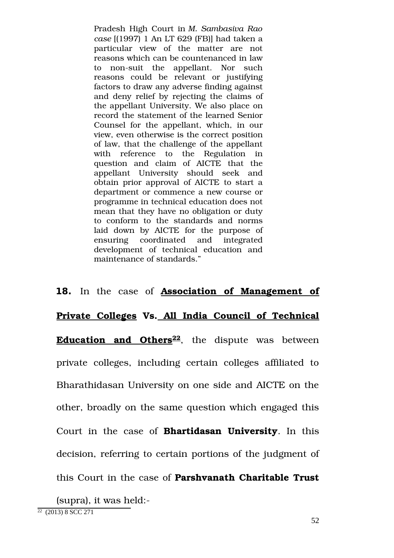Pradesh High Court in *M. Sambasiva Rao case* [(1997) 1 An LT 629 (FB)] had taken a particular view of the matter are not reasons which can be countenanced in law to non-suit the appellant. Nor such reasons could be relevant or justifying factors to draw any adverse finding against and deny relief by rejecting the claims of the appellant University. We also place on record the statement of the learned Senior Counsel for the appellant, which, in our view, even otherwise is the correct position of law, that the challenge of the appellant with reference to the Regulation in question and claim of AICTE that the appellant University should seek and obtain prior approval of AICTE to start a department or commence a new course or programme in technical education does not mean that they have no obligation or duty to conform to the standards and norms laid down by AICTE for the purpose of ensuring coordinated and integrated development of technical education and maintenance of standards."

**18.** In the case of **Association of Management of Private Colleges Vs. All India Council of Technical Education and Others<sup>[22](#page-51-0)</sup>**, the dispute was between private colleges, including certain colleges affiliated to Bharathidasan University on one side and AICTE on the other, broadly on the same question which engaged this Court in the case of **Bhartidasan University**. In this decision, referring to certain portions of the judgment of this Court in the case of **Parshvanath Charitable Trust**

<span id="page-51-0"></span>(supra), it was held: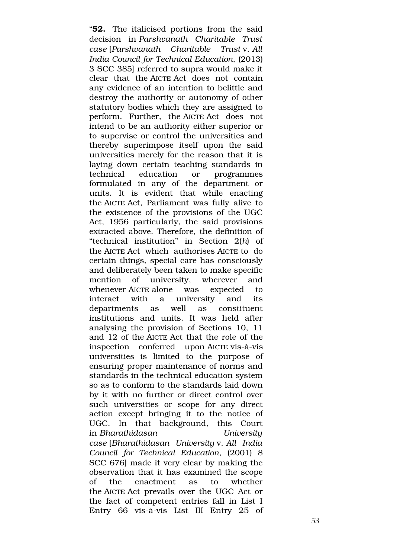"**52.** The italicised portions from the said decision in *Parshvanath Charitable Trust case* [*Parshvanath Charitable Trust* v. *All India Council for Technical Education*, (2013) 3 SCC 385] referred to supra would make it clear that the AICTE Act does not contain any evidence of an intention to belittle and destroy the authority or autonomy of other statutory bodies which they are assigned to perform. Further, the AICTE Act does not intend to be an authority either superior or to supervise or control the universities and thereby superimpose itself upon the said universities merely for the reason that it is laying down certain teaching standards in technical education or programmes formulated in any of the department or units. It is evident that while enacting the AICTE Act, Parliament was fully alive to the existence of the provisions of the UGC Act, 1956 particularly, the said provisions extracted above. Therefore, the definition of "technical institution" in Section 2(*h*) of the AICTE Act which authorises AICTE to do certain things, special care has consciously and deliberately been taken to make specific mention of university, wherever and whenever AICTE alone was expected to interact with a university and its departments as well as constituent institutions and units. It was held after analysing the provision of Sections 10, 11 and 12 of the AICTE Act that the role of the inspection conferred upon AICTE vis-à-vis universities is limited to the purpose of ensuring proper maintenance of norms and standards in the technical education system so as to conform to the standards laid down by it with no further or direct control over such universities or scope for any direct action except bringing it to the notice of UGC. In that background, this Court in *Bharathidasan University case* [*Bharathidasan University* v. *All India Council for Technical Education*, (2001) 8 SCC 676] made it very clear by making the observation that it has examined the scope of the enactment as to whether the AICTE Act prevails over the UGC Act or the fact of competent entries fall in List I Entry 66 vis-à-vis List III Entry 25 of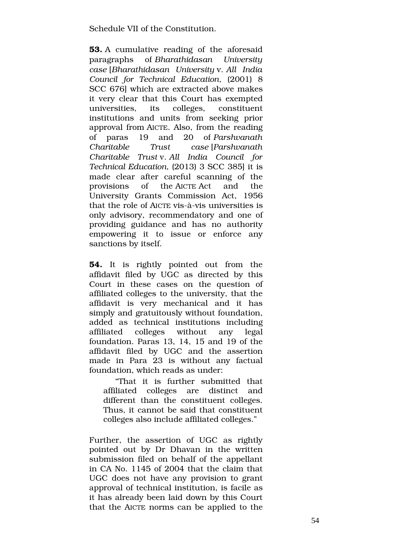Schedule VII of the Constitution.

**53.** A cumulative reading of the aforesaid paragraphs of *Bharathidasan University case* [*Bharathidasan University* v. *All India Council for Technical Education*, (2001) 8 SCC 676] which are extracted above makes it very clear that this Court has exempted universities, its colleges, constituent institutions and units from seeking prior approval from AICTE. Also, from the reading of paras 19 and 20 of *Parshvanath Charitable Trust case* [*Parshvanath Charitable Trust* v. *All India Council for Technical Education*, (2013) 3 SCC 385] it is made clear after careful scanning of the provisions of the AICTE Act and the University Grants Commission Act, 1956 that the role of AICTE vis-à-vis universities is only advisory, recommendatory and one of providing guidance and has no authority empowering it to issue or enforce any sanctions by itself.

**54.** It is rightly pointed out from the affidavit filed by UGC as directed by this Court in these cases on the question of affiliated colleges to the university, that the affidavit is very mechanical and it has simply and gratuitously without foundation, added as technical institutions including affiliated colleges without any legal foundation. Paras 13, 14, 15 and 19 of the affidavit filed by UGC and the assertion made in Para 23 is without any factual foundation, which reads as under:

"That it is further submitted that affiliated colleges are distinct and different than the constituent colleges. Thus, it cannot be said that constituent colleges also include affiliated colleges."

Further, the assertion of UGC as rightly pointed out by Dr Dhavan in the written submission filed on behalf of the appellant in CA No. 1145 of 2004 that the claim that UGC does not have any provision to grant approval of technical institution, is facile as it has already been laid down by this Court that the AICTE norms can be applied to the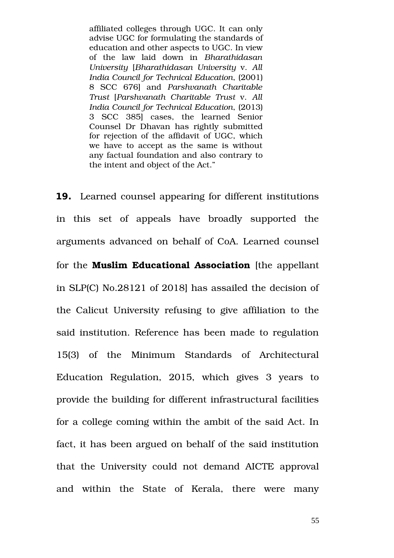affiliated colleges through UGC. It can only advise UGC for formulating the standards of education and other aspects to UGC. In view of the law laid down in *Bharathidasan University* [*Bharathidasan University* v. *All India Council for Technical Education*, (2001) 8 SCC 676] and *Parshvanath Charitable Trust* [*Parshvanath Charitable Trust* v. *All India Council for Technical Education*, (2013) 3 SCC 385] cases, the learned Senior Counsel Dr Dhavan has rightly submitted for rejection of the affidavit of UGC, which we have to accept as the same is without any factual foundation and also contrary to the intent and object of the Act."

**19.** Learned counsel appearing for different institutions in this set of appeals have broadly supported the arguments advanced on behalf of CoA. Learned counsel for the **Muslim Educational Association** [the appellant in SLP(C) No.28121 of 2018] has assailed the decision of the Calicut University refusing to give affiliation to the said institution. Reference has been made to regulation 15(3) of the Minimum Standards of Architectural Education Regulation, 2015, which gives 3 years to provide the building for different infrastructural facilities for a college coming within the ambit of the said Act. In fact, it has been argued on behalf of the said institution that the University could not demand AICTE approval and within the State of Kerala, there were many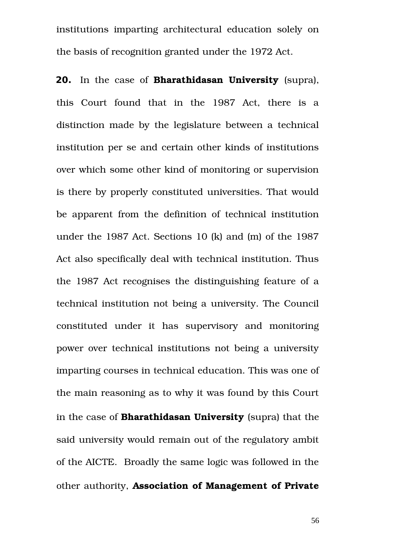institutions imparting architectural education solely on the basis of recognition granted under the 1972 Act.

**20.** In the case of **Bharathidasan University** (supra), this Court found that in the 1987 Act, there is a distinction made by the legislature between a technical institution per se and certain other kinds of institutions over which some other kind of monitoring or supervision is there by properly constituted universities. That would be apparent from the definition of technical institution under the 1987 Act. Sections 10 (k) and (m) of the 1987 Act also specifically deal with technical institution. Thus the 1987 Act recognises the distinguishing feature of a technical institution not being a university. The Council constituted under it has supervisory and monitoring power over technical institutions not being a university imparting courses in technical education. This was one of the main reasoning as to why it was found by this Court in the case of **Bharathidasan University** (supra) that the said university would remain out of the regulatory ambit of the AICTE. Broadly the same logic was followed in the other authority, **Association of Management of Private**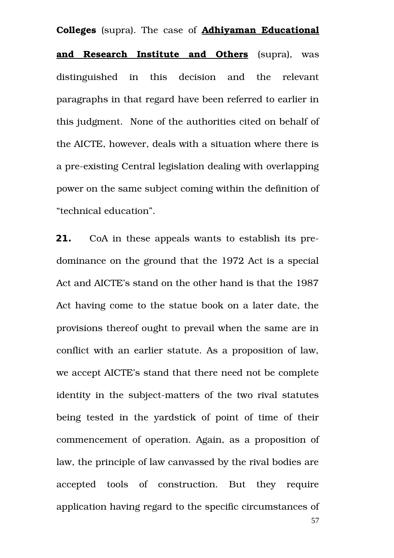**Colleges** (supra). The case of **Adhiyaman Educational and Research Institute and Others** (supra), was distinguished in this decision and the relevant paragraphs in that regard have been referred to earlier in this judgment. None of the authorities cited on behalf of the AICTE, however, deals with a situation where there is a pre-existing Central legislation dealing with overlapping power on the same subject coming within the definition of "technical education".

**21.** CoA in these appeals wants to establish its predominance on the ground that the 1972 Act is a special Act and AICTE's stand on the other hand is that the 1987 Act having come to the statue book on a later date, the provisions thereof ought to prevail when the same are in conflict with an earlier statute. As a proposition of law, we accept AICTE's stand that there need not be complete identity in the subject-matters of the two rival statutes being tested in the yardstick of point of time of their commencement of operation. Again, as a proposition of law, the principle of law canvassed by the rival bodies are accepted tools of construction. But they require application having regard to the specific circumstances of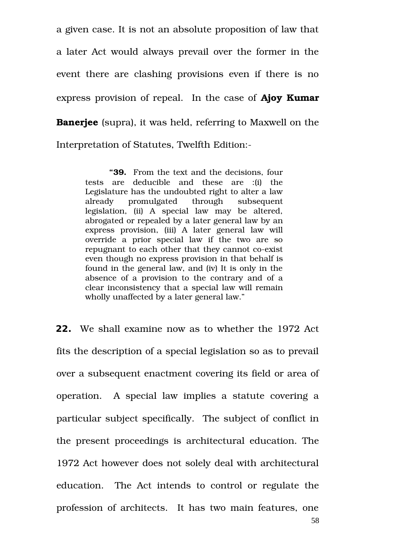a given case. It is not an absolute proposition of law that a later Act would always prevail over the former in the event there are clashing provisions even if there is no express provision of repeal. In the case of **Ajoy Kumar Banerjee** (supra), it was held, referring to Maxwell on the Interpretation of Statutes, Twelfth Edition:

> **"39.** From the text and the decisions, four tests are deducible and these are :(i) the Legislature has the undoubted right to alter a law already promulgated through subsequent legislation, (ii) A special law may be altered, abrogated or repealed by a later general law by an express provision, (iii) A later general law will override a prior special law if the two are so repugnant to each other that they cannot co-exist even though no express provision in that behalf is found in the general law, and (iv) It is only in the absence of a provision to the contrary and of a clear inconsistency that a special law will remain wholly unaffected by a later general law."

**22.** We shall examine now as to whether the 1972 Act fits the description of a special legislation so as to prevail over a subsequent enactment covering its field or area of operation. A special law implies a statute covering a particular subject specifically. The subject of conflict in the present proceedings is architectural education. The 1972 Act however does not solely deal with architectural education. The Act intends to control or regulate the profession of architects. It has two main features, one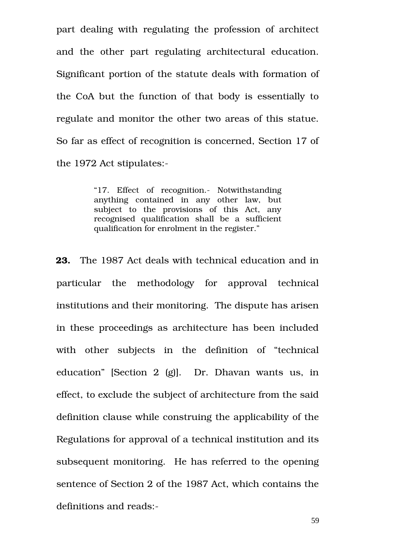part dealing with regulating the profession of architect and the other part regulating architectural education. Significant portion of the statute deals with formation of the CoA but the function of that body is essentially to regulate and monitor the other two areas of this statue. So far as effect of recognition is concerned, Section 17 of the 1972 Act stipulates:

> "17. Effect of recognition. Notwithstanding anything contained in any other law, but subject to the provisions of this Act, any recognised qualification shall be a sufficient qualification for enrolment in the register."

**23.** The 1987 Act deals with technical education and in particular the methodology for approval technical institutions and their monitoring. The dispute has arisen in these proceedings as architecture has been included with other subjects in the definition of "technical education" [Section 2  $(g)$ ]. Dr. Dhavan wants us, in effect, to exclude the subject of architecture from the said definition clause while construing the applicability of the Regulations for approval of a technical institution and its subsequent monitoring. He has referred to the opening sentence of Section 2 of the 1987 Act, which contains the definitions and reads: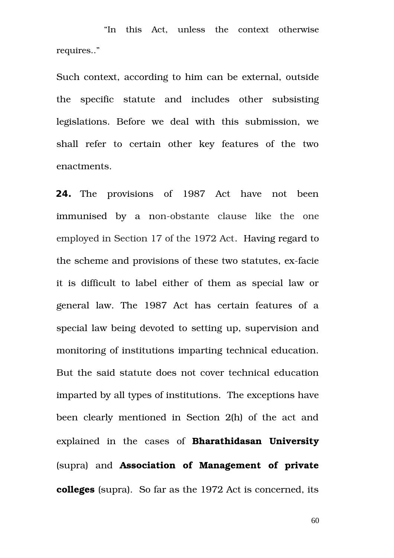"In this Act, unless the context otherwise requires.."

Such context, according to him can be external, outside the specific statute and includes other subsisting legislations. Before we deal with this submission, we shall refer to certain other key features of the two enactments.

**24.** The provisions of 1987 Act have not been immunised by a non-obstante clause like the one employed in Section 17 of the 1972 Act. Having regard to the scheme and provisions of these two statutes, ex-facie it is difficult to label either of them as special law or general law. The 1987 Act has certain features of a special law being devoted to setting up, supervision and monitoring of institutions imparting technical education. But the said statute does not cover technical education imparted by all types of institutions. The exceptions have been clearly mentioned in Section 2(h) of the act and explained in the cases of **Bharathidasan University** (supra) and **Association of Management of private colleges** (supra). So far as the 1972 Act is concerned, its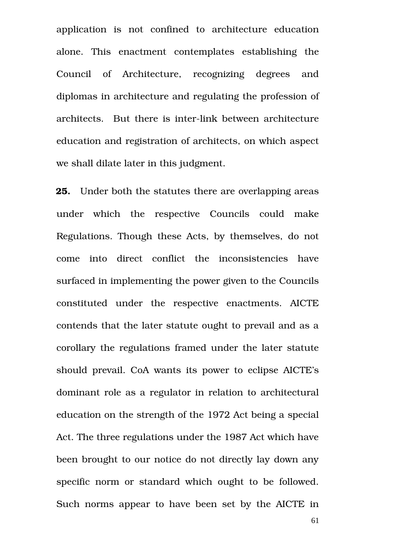application is not confined to architecture education alone. This enactment contemplates establishing the Council of Architecture, recognizing degrees and diplomas in architecture and regulating the profession of architects. But there is inter-link between architecture education and registration of architects, on which aspect we shall dilate later in this judgment.

**25.** Under both the statutes there are overlapping areas under which the respective Councils could make Regulations. Though these Acts, by themselves, do not come into direct conflict the inconsistencies have surfaced in implementing the power given to the Councils constituted under the respective enactments. AICTE contends that the later statute ought to prevail and as a corollary the regulations framed under the later statute should prevail. CoA wants its power to eclipse AICTE's dominant role as a regulator in relation to architectural education on the strength of the 1972 Act being a special Act. The three regulations under the 1987 Act which have been brought to our notice do not directly lay down any specific norm or standard which ought to be followed. Such norms appear to have been set by the AICTE in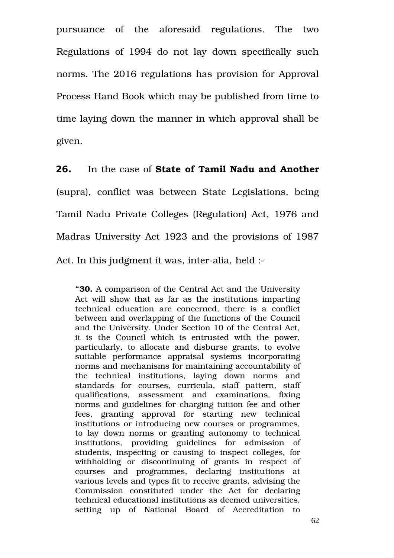pursuance of the aforesaid regulations. The two Regulations of 1994 do not lay down specifically such norms. The 2016 regulations has provision for Approval Process Hand Book which may be published from time to time laying down the manner in which approval shall be given.

**26.** In the case of **State of Tamil Nadu and Another** (supra), conflict was between State Legislations, being Tamil Nadu Private Colleges (Regulation) Act, 1976 and Madras University Act 1923 and the provisions of 1987 Act. In this judgment it was, inter-alia, held :-

**"30.** A comparison of the Central Act and the University Act will show that as far as the institutions imparting technical education are concerned, there is a conflict between and overlapping of the functions of the Council and the University. Under Section 10 of the Central Act, it is the Council which is entrusted with the power, particularly, to allocate and disburse grants, to evolve suitable performance appraisal systems incorporating norms and mechanisms for maintaining accountability of the technical institutions, laying down norms and standards for courses, curricula, staff pattern, staff qualifications, assessment and examinations, fixing norms and guidelines for charging tuition fee and other fees, granting approval for starting new technical institutions or introducing new courses or programmes, to lay down norms or granting autonomy to technical institutions, providing guidelines for admission of students, inspecting or causing to inspect colleges, for withholding or discontinuing of grants in respect of courses and programmes, declaring institutions at various levels and types fit to receive grants, advising the Commission constituted under the Act for declaring technical educational institutions as deemed universities, setting up of National Board of Accreditation to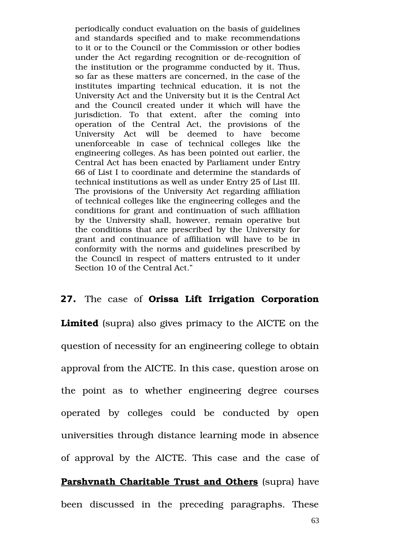periodically conduct evaluation on the basis of guidelines and standards specified and to make recommendations to it or to the Council or the Commission or other bodies under the Act regarding recognition or de-recognition of the institution or the programme conducted by it. Thus, so far as these matters are concerned, in the case of the institutes imparting technical education, it is not the University Act and the University but it is the Central Act and the Council created under it which will have the jurisdiction. To that extent, after the coming into operation of the Central Act, the provisions of the University Act will be deemed to have become unenforceable in case of technical colleges like the engineering colleges. As has been pointed out earlier, the Central Act has been enacted by Parliament under Entry 66 of List I to coordinate and determine the standards of technical institutions as well as under Entry 25 of List III. The provisions of the University Act regarding affiliation of technical colleges like the engineering colleges and the conditions for grant and continuation of such affiliation by the University shall, however, remain operative but the conditions that are prescribed by the University for grant and continuance of affiliation will have to be in conformity with the norms and guidelines prescribed by the Council in respect of matters entrusted to it under Section 10 of the Central Act."

## **27.** The case of **Orissa Lift Irrigation Corporation**

**Limited** (supra) also gives primacy to the AICTE on the question of necessity for an engineering college to obtain approval from the AICTE. In this case, question arose on the point as to whether engineering degree courses operated by colleges could be conducted by open universities through distance learning mode in absence of approval by the AICTE. This case and the case of **Parshvnath Charitable Trust and Others** (supra) have been discussed in the preceding paragraphs. These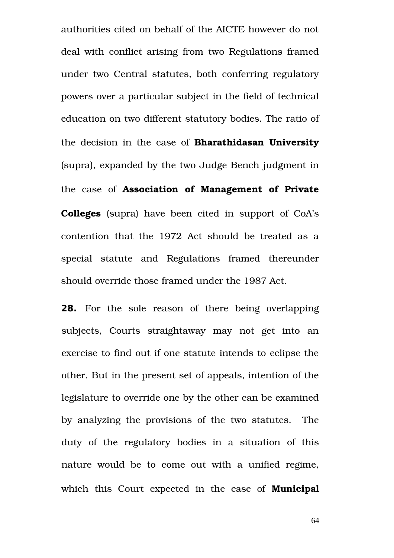authorities cited on behalf of the AICTE however do not deal with conflict arising from two Regulations framed under two Central statutes, both conferring regulatory powers over a particular subject in the field of technical education on two different statutory bodies. The ratio of the decision in the case of **Bharathidasan University** (supra), expanded by the two Judge Bench judgment in the case of **Association of Management of Private Colleges** (supra) have been cited in support of CoA's contention that the 1972 Act should be treated as a special statute and Regulations framed thereunder should override those framed under the 1987 Act.

**28.** For the sole reason of there being overlapping subjects, Courts straightaway may not get into an exercise to find out if one statute intends to eclipse the other. But in the present set of appeals, intention of the legislature to override one by the other can be examined by analyzing the provisions of the two statutes. The duty of the regulatory bodies in a situation of this nature would be to come out with a unified regime, which this Court expected in the case of **Municipal**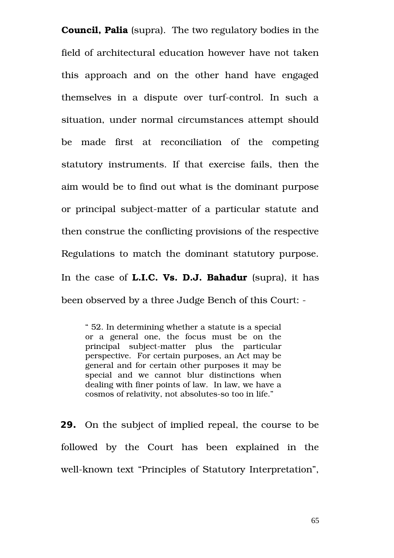**Council, Palia** (supra). The two regulatory bodies in the field of architectural education however have not taken this approach and on the other hand have engaged themselves in a dispute over turf-control. In such a situation, under normal circumstances attempt should be made first at reconciliation of the competing statutory instruments. If that exercise fails, then the aim would be to find out what is the dominant purpose or principal subject-matter of a particular statute and then construe the conflicting provisions of the respective Regulations to match the dominant statutory purpose. In the case of **L.I.C. Vs. D.J. Bahadur** (supra), it has been observed by a three Judge Bench of this Court:

" 52. In determining whether a statute is a special or a general one, the focus must be on the principal subject-matter plus the particular perspective. For certain purposes, an Act may be general and for certain other purposes it may be special and we cannot blur distinctions when dealing with finer points of law. In law, we have a cosmos of relativity, not absolutes-so too in life."

**29.** On the subject of implied repeal, the course to be followed by the Court has been explained in the well-known text "Principles of Statutory Interpretation",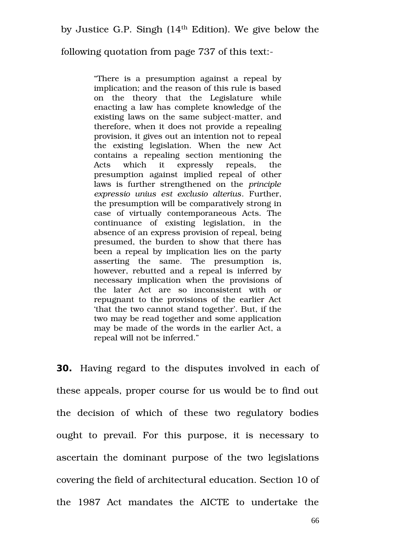following quotation from page 737 of this text:

"There is a presumption against a repeal by implication; and the reason of this rule is based on the theory that the Legislature while enacting a law has complete knowledge of the existing laws on the same subject-matter, and therefore, when it does not provide a repealing provision, it gives out an intention not to repeal the existing legislation. When the new Act contains a repealing section mentioning the Acts which it expressly repeals, the presumption against implied repeal of other laws is further strengthened on the *principle expressio unius est exclusio alterius*. Further, the presumption will be comparatively strong in case of virtually contemporaneous Acts. The continuance of existing legislation, in the absence of an express provision of repeal, being presumed, the burden to show that there has been a repeal by implication lies on the party asserting the same. The presumption is, however, rebutted and a repeal is inferred by necessary implication when the provisions of the later Act are so inconsistent with or repugnant to the provisions of the earlier Act 'that the two cannot stand together'. But, if the two may be read together and some application may be made of the words in the earlier Act, a repeal will not be inferred."

**30.** Having regard to the disputes involved in each of these appeals, proper course for us would be to find out the decision of which of these two regulatory bodies ought to prevail. For this purpose, it is necessary to ascertain the dominant purpose of the two legislations covering the field of architectural education. Section 10 of the 1987 Act mandates the AICTE to undertake the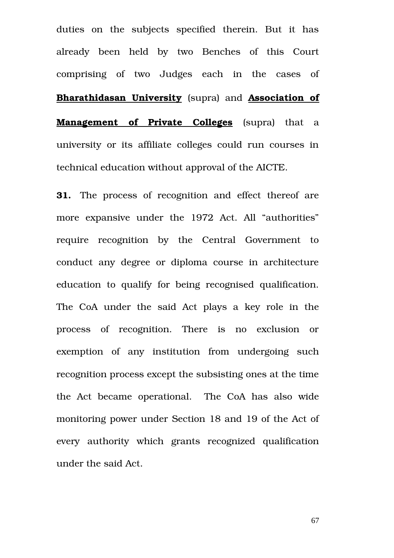duties on the subjects specified therein. But it has already been held by two Benches of this Court comprising of two Judges each in the cases of **Bharathidasan University** (supra) and **Association of Management of Private Colleges** (supra) that a university or its affiliate colleges could run courses in technical education without approval of the AICTE.

**31.** The process of recognition and effect thereof are more expansive under the 1972 Act. All "authorities" require recognition by the Central Government to conduct any degree or diploma course in architecture education to qualify for being recognised qualification. The CoA under the said Act plays a key role in the process of recognition. There is no exclusion or exemption of any institution from undergoing such recognition process except the subsisting ones at the time the Act became operational. The CoA has also wide monitoring power under Section 18 and 19 of the Act of every authority which grants recognized qualification under the said Act.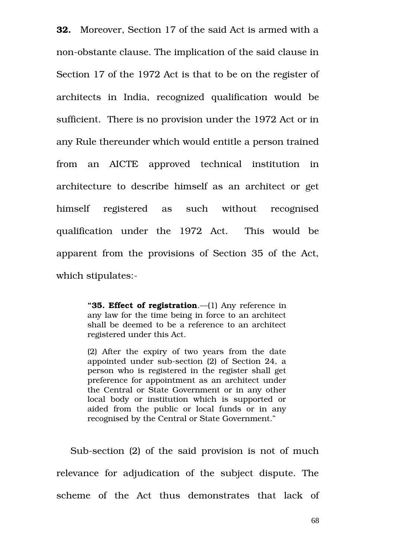**32.** Moreover, Section 17 of the said Act is armed with a non-obstante clause. The implication of the said clause in Section 17 of the 1972 Act is that to be on the register of architects in India, recognized qualification would be sufficient. There is no provision under the 1972 Act or in any Rule thereunder which would entitle a person trained from an AICTE approved technical institution in architecture to describe himself as an architect or get himself registered as such without recognised qualification under the 1972 Act. This would be apparent from the provisions of Section 35 of the Act, which stipulates:

> **"35. Effect of registration**.—(1) Any reference in any law for the time being in force to an architect shall be deemed to be a reference to an architect registered under this Act.

> (2) After the expiry of two years from the date appointed under sub-section (2) of Section 24, a person who is registered in the register shall get preference for appointment as an architect under the Central or State Government or in any other local body or institution which is supported or aided from the public or local funds or in any recognised by the Central or State Government."

Sub-section (2) of the said provision is not of much relevance for adjudication of the subject dispute. The scheme of the Act thus demonstrates that lack of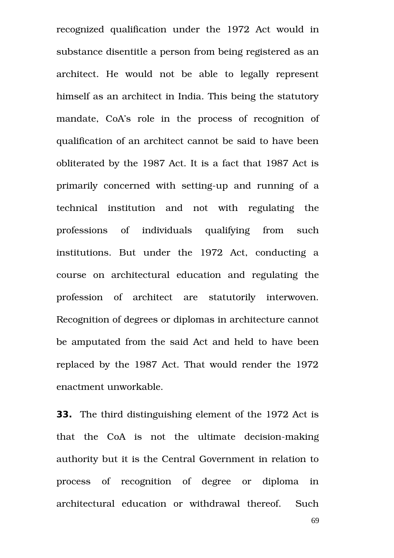recognized qualification under the 1972 Act would in substance disentitle a person from being registered as an architect. He would not be able to legally represent himself as an architect in India. This being the statutory mandate, CoA's role in the process of recognition of qualification of an architect cannot be said to have been obliterated by the 1987 Act. It is a fact that 1987 Act is primarily concerned with setting-up and running of a technical institution and not with regulating the professions of individuals qualifying from such institutions. But under the 1972 Act, conducting a course on architectural education and regulating the profession of architect are statutorily interwoven. Recognition of degrees or diplomas in architecture cannot be amputated from the said Act and held to have been replaced by the 1987 Act. That would render the 1972 enactment unworkable.

**33.** The third distinguishing element of the 1972 Act is that the CoA is not the ultimate decision-making authority but it is the Central Government in relation to process of recognition of degree or diploma in architectural education or withdrawal thereof. Such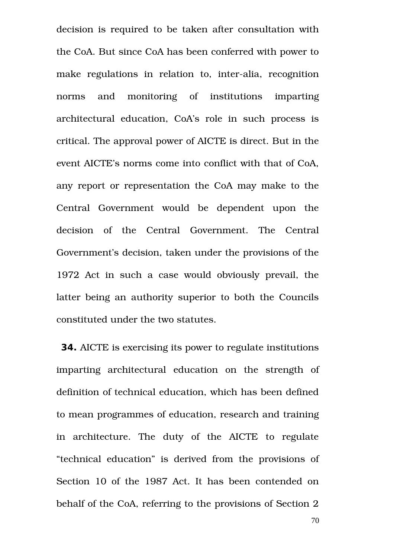decision is required to be taken after consultation with the CoA. But since CoA has been conferred with power to make regulations in relation to, inter-alia, recognition norms and monitoring of institutions imparting architectural education, CoA's role in such process is critical. The approval power of AICTE is direct. But in the event AICTE's norms come into conflict with that of CoA, any report or representation the CoA may make to the Central Government would be dependent upon the decision of the Central Government. The Central Government's decision, taken under the provisions of the 1972 Act in such a case would obviously prevail, the latter being an authority superior to both the Councils constituted under the two statutes.

**34.** AICTE is exercising its power to regulate institutions imparting architectural education on the strength of definition of technical education, which has been defined to mean programmes of education, research and training in architecture. The duty of the AICTE to regulate "technical education" is derived from the provisions of Section 10 of the 1987 Act. It has been contended on behalf of the CoA, referring to the provisions of Section 2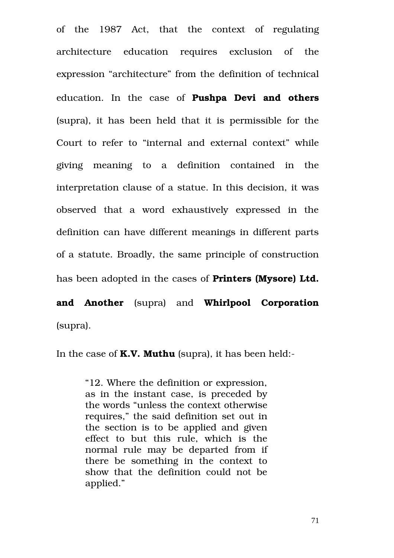of the 1987 Act, that the context of regulating architecture education requires exclusion of the expression "architecture" from the definition of technical education. In the case of **Pushpa Devi and others** (supra), it has been held that it is permissible for the Court to refer to "internal and external context" while giving meaning to a definition contained in the interpretation clause of a statue. In this decision, it was observed that a word exhaustively expressed in the definition can have different meanings in different parts of a statute. Broadly, the same principle of construction has been adopted in the cases of **Printers (Mysore) Ltd.**

**and Another** (supra) and **Whirlpool Corporation** (supra).

In the case of **K.V. Muthu** (supra), it has been held:

"12. Where the definition or expression, as in the instant case, is preceded by the words "unless the context otherwise requires," the said definition set out in the section is to be applied and given effect to but this rule, which is the normal rule may be departed from if there be something in the context to show that the definition could not be applied."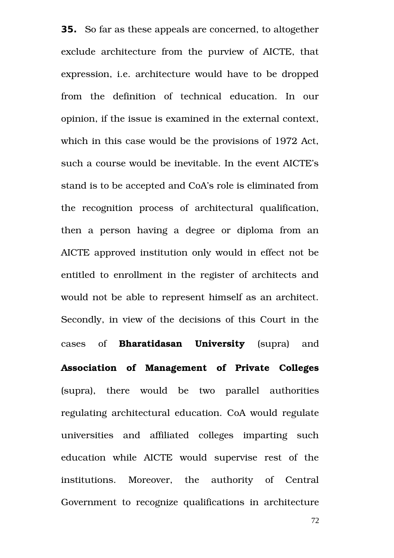**35.** So far as these appeals are concerned, to altogether exclude architecture from the purview of AICTE, that expression, i.e. architecture would have to be dropped from the definition of technical education. In our opinion, if the issue is examined in the external context, which in this case would be the provisions of 1972 Act, such a course would be inevitable. In the event AICTE's stand is to be accepted and CoA's role is eliminated from the recognition process of architectural qualification, then a person having a degree or diploma from an AICTE approved institution only would in effect not be entitled to enrollment in the register of architects and would not be able to represent himself as an architect. Secondly, in view of the decisions of this Court in the cases of **Bharatidasan University** (supra) and **Association of Management of Private Colleges** (supra), there would be two parallel authorities regulating architectural education. CoA would regulate universities and affiliated colleges imparting such education while AICTE would supervise rest of the institutions. Moreover, the authority of Central Government to recognize qualifications in architecture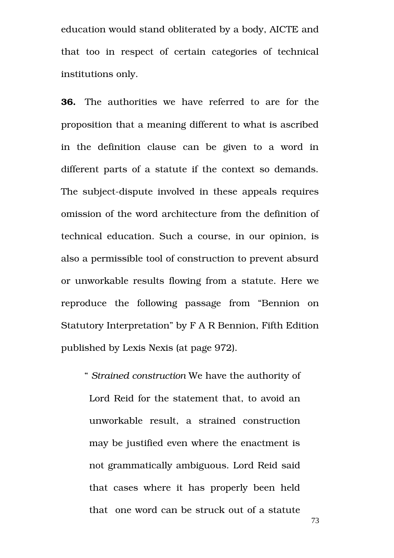education would stand obliterated by a body, AICTE and that too in respect of certain categories of technical institutions only.

**36.** The authorities we have referred to are for the proposition that a meaning different to what is ascribed in the definition clause can be given to a word in different parts of a statute if the context so demands. The subject-dispute involved in these appeals requires omission of the word architecture from the definition of technical education. Such a course, in our opinion, is also a permissible tool of construction to prevent absurd or unworkable results flowing from a statute. Here we reproduce the following passage from "Bennion on Statutory Interpretation" by F A R Bennion, Fifth Edition published by Lexis Nexis (at page 972).

" *Strained construction* We have the authority of Lord Reid for the statement that, to avoid an unworkable result, a strained construction may be justified even where the enactment is not grammatically ambiguous. Lord Reid said that cases where it has properly been held that one word can be struck out of a statute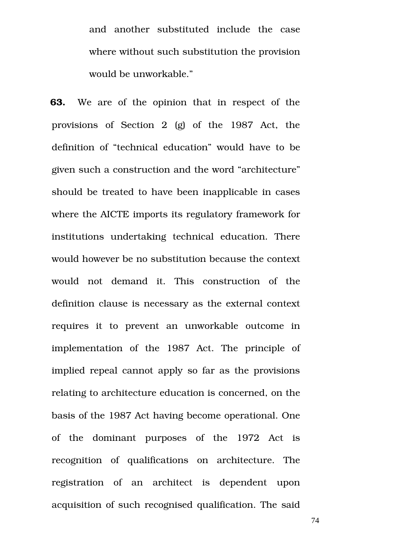and another substituted include the case where without such substitution the provision would be unworkable."

**63.** We are of the opinion that in respect of the provisions of Section  $2 \text{ (g)}$  of the 1987 Act, the definition of "technical education" would have to be given such a construction and the word "architecture" should be treated to have been inapplicable in cases where the AICTE imports its regulatory framework for institutions undertaking technical education. There would however be no substitution because the context would not demand it. This construction of the definition clause is necessary as the external context requires it to prevent an unworkable outcome in implementation of the 1987 Act. The principle of implied repeal cannot apply so far as the provisions relating to architecture education is concerned, on the basis of the 1987 Act having become operational. One of the dominant purposes of the 1972 Act is recognition of qualifications on architecture. The registration of an architect is dependent upon acquisition of such recognised qualification. The said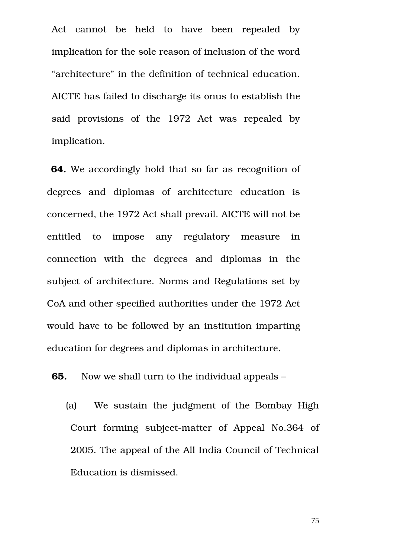Act cannot be held to have been repealed by implication for the sole reason of inclusion of the word "architecture" in the definition of technical education. AICTE has failed to discharge its onus to establish the said provisions of the 1972 Act was repealed by implication.

**64.** We accordingly hold that so far as recognition of degrees and diplomas of architecture education is concerned, the 1972 Act shall prevail. AICTE will not be entitled to impose any regulatory measure in connection with the degrees and diplomas in the subject of architecture. Norms and Regulations set by CoA and other specified authorities under the 1972 Act would have to be followed by an institution imparting education for degrees and diplomas in architecture.

**65.** Now we shall turn to the individual appeals –

(a) We sustain the judgment of the Bombay High Court forming subject-matter of Appeal No.364 of 2005. The appeal of the All India Council of Technical Education is dismissed.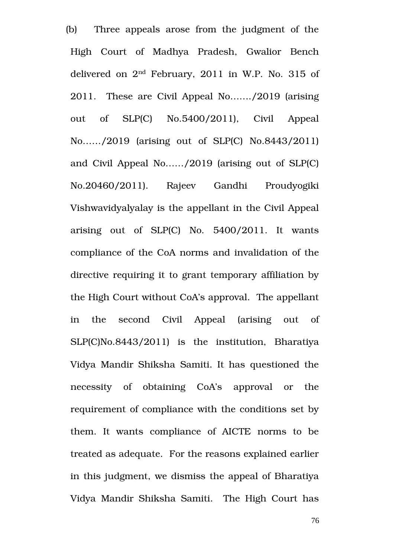(b) Three appeals arose from the judgment of the High Court of Madhya Pradesh, Gwalior Bench delivered on 2nd February, 2011 in W.P. No. 315 of 2011. These are Civil Appeal No……./2019 (arising out of SLP(C) No.5400/2011), Civil Appeal No....../2019 (arising out of SLP(C) No.8443/2011) and Civil Appeal No……/2019 (arising out of SLP(C) No.20460/2011). Rajeev Gandhi Proudyogiki Vishwavidyalyalay is the appellant in the Civil Appeal arising out of  $SLP(C)$  No.  $5400/2011$ . It wants compliance of the CoA norms and invalidation of the directive requiring it to grant temporary affiliation by the High Court without CoA's approval. The appellant in the second Civil Appeal (arising out of SLP(C)No.8443/2011) is the institution, Bharatiya Vidya Mandir Shiksha Samiti. It has questioned the necessity of obtaining CoA's approval or the requirement of compliance with the conditions set by them. It wants compliance of AICTE norms to be treated as adequate. For the reasons explained earlier in this judgment, we dismiss the appeal of Bharatiya Vidya Mandir Shiksha Samiti. The High Court has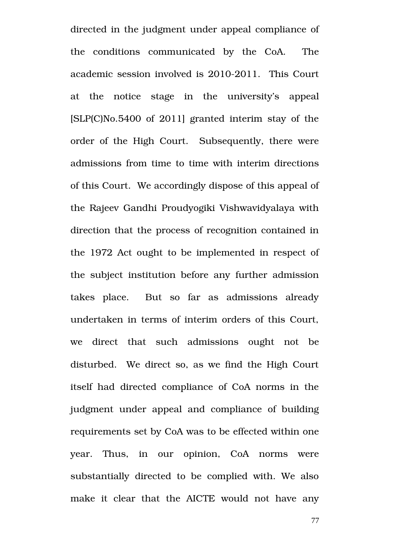directed in the judgment under appeal compliance of the conditions communicated by the CoA. The academic session involved is 2010-2011. This Court at the notice stage in the university's appeal [SLP(C)No.5400 of 2011] granted interim stay of the order of the High Court. Subsequently, there were admissions from time to time with interim directions of this Court. We accordingly dispose of this appeal of the Rajeev Gandhi Proudyogiki Vishwavidyalaya with direction that the process of recognition contained in the 1972 Act ought to be implemented in respect of the subject institution before any further admission takes place. But so far as admissions already undertaken in terms of interim orders of this Court, we direct that such admissions ought not be disturbed. We direct so, as we find the High Court itself had directed compliance of CoA norms in the judgment under appeal and compliance of building requirements set by CoA was to be effected within one year. Thus, in our opinion, CoA norms were substantially directed to be complied with. We also make it clear that the AICTE would not have any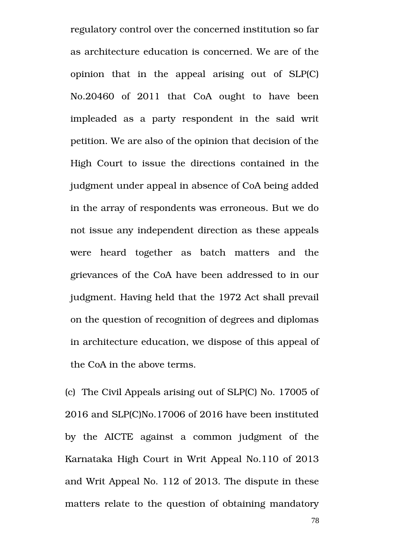regulatory control over the concerned institution so far as architecture education is concerned. We are of the opinion that in the appeal arising out of  $SLP(C)$ No.20460 of 2011 that CoA ought to have been impleaded as a party respondent in the said writ petition. We are also of the opinion that decision of the High Court to issue the directions contained in the judgment under appeal in absence of CoA being added in the array of respondents was erroneous. But we do not issue any independent direction as these appeals were heard together as batch matters and the grievances of the CoA have been addressed to in our judgment. Having held that the 1972 Act shall prevail on the question of recognition of degrees and diplomas in architecture education, we dispose of this appeal of the CoA in the above terms.

(c) The Civil Appeals arising out of SLP(C) No. 17005 of 2016 and SLP(C)No.17006 of 2016 have been instituted by the AICTE against a common judgment of the Karnataka High Court in Writ Appeal No.110 of 2013 and Writ Appeal No. 112 of 2013. The dispute in these matters relate to the question of obtaining mandatory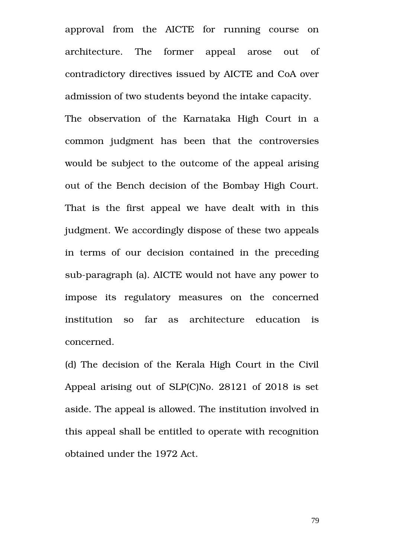approval from the AICTE for running course on architecture. The former appeal arose out of contradictory directives issued by AICTE and CoA over admission of two students beyond the intake capacity.

The observation of the Karnataka High Court in a common judgment has been that the controversies would be subject to the outcome of the appeal arising out of the Bench decision of the Bombay High Court. That is the first appeal we have dealt with in this judgment. We accordingly dispose of these two appeals in terms of our decision contained in the preceding sub-paragraph (a). AICTE would not have any power to impose its regulatory measures on the concerned institution so far as architecture education is concerned.

(d) The decision of the Kerala High Court in the Civil Appeal arising out of SLP(C)No. 28121 of 2018 is set aside. The appeal is allowed. The institution involved in this appeal shall be entitled to operate with recognition obtained under the 1972 Act.